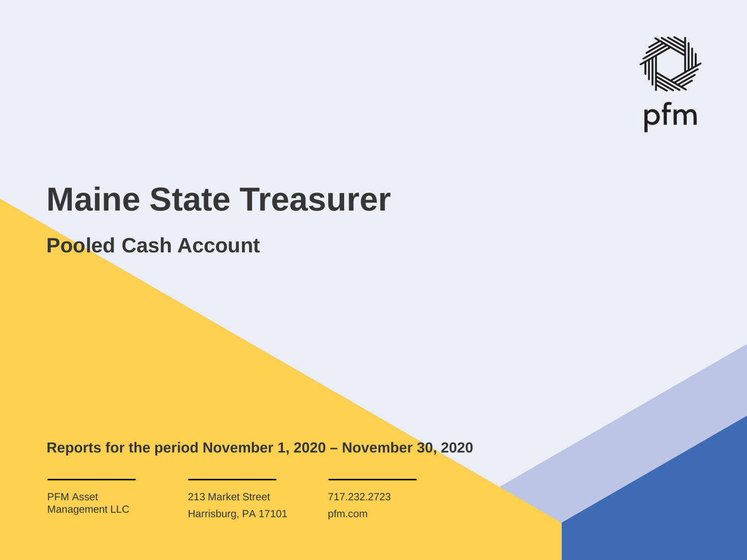

# **Maine State Treasurer**

**Pooled Cash Account**

**Reports for the period November 1, 2020 – November 30, 2020**

PFM Asset Management LLC

213 Market Street Harrisburg, PA 17101 717.232.2723 pfm.com

 $\mathcal{P}_\text{max}$  and  $\mathcal{P}_\text{max}$  is the probability of  $\mathcal{P}_\text{max}$  and  $\mathcal{P}_\text{max}$  and  $\mathcal{P}_\text{max}$  and  $\mathcal{P}_\text{max}$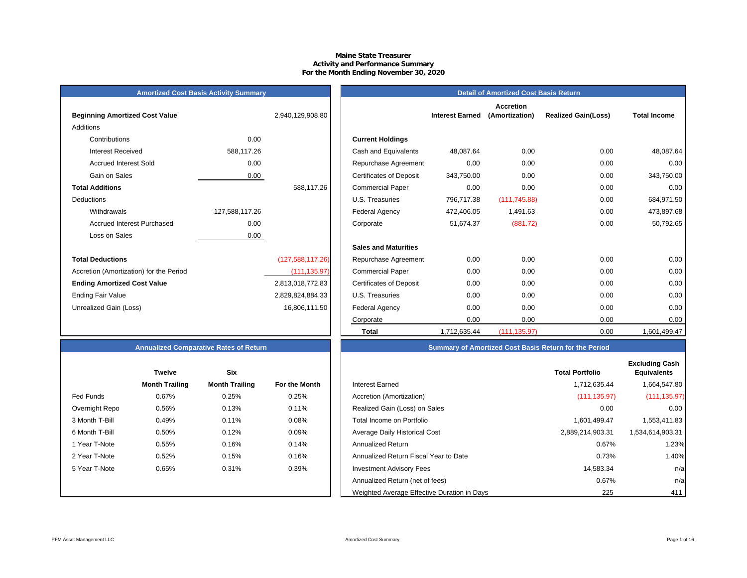#### **Maine State Treasurer Activity and Performance Summary For the Month Ending November 30, 2020**

| <b>Amortized Cost Basis Activity Summary</b> |  |  |  |  |
|----------------------------------------------|--|--|--|--|
|----------------------------------------------|--|--|--|--|

| <b>Beginning Amortized Cost Value</b>   |                | 2,940,129,908.80 | <b>Interest Earned</b>                       |
|-----------------------------------------|----------------|------------------|----------------------------------------------|
| <b>Additions</b>                        |                |                  |                                              |
| Contributions                           | 0.00           |                  | <b>Current Holdings</b>                      |
| Interest Received                       | 588,117.26     |                  | Cash and Equivalents<br>48,087.64            |
| <b>Accrued Interest Sold</b>            | 0.00           |                  | Repurchase Agreement<br>0.00                 |
| Gain on Sales                           | 0.00           |                  | <b>Certificates of Deposit</b><br>343,750.00 |
| <b>Total Additions</b>                  |                | 588,117.26       | 0.00<br><b>Commercial Paper</b>              |
| <b>Deductions</b>                       |                |                  | U.S. Treasuries<br>796,717.38                |
| Withdrawals                             | 127,588,117.26 |                  | <b>Federal Agency</b><br>472,406.05          |
| <b>Accrued Interest Purchased</b>       | 0.00           |                  | 51,674.37<br>Corporate                       |
| Loss on Sales                           | 0.00           |                  |                                              |
|                                         |                |                  | <b>Sales and Maturities</b>                  |
| <b>Total Deductions</b>                 |                | (127,588,117.26) | 0.00<br>Repurchase Agreement                 |
| Accretion (Amortization) for the Period |                | (111, 135.97)    | 0.00<br><b>Commercial Paper</b>              |
| <b>Ending Amortized Cost Value</b>      |                | 2,813,018,772.83 | 0.00<br><b>Certificates of Deposit</b>       |
| Ending Fair Value                       |                | 2,829,824,884.33 | 0.00<br>U.S. Treasuries                      |
| Unrealized Gain (Loss)                  |                | 16,806,111.50    | 0.00<br>Federal Agency                       |
|                                         |                |                  | $\sim$ $\sim$                                |

|                                         | <b>Amortized Cost Basis Activity Summary</b> |                  | <b>Detail of Amortized Cost Basis Return</b> |                        |                                    |                            |                     |  |
|-----------------------------------------|----------------------------------------------|------------------|----------------------------------------------|------------------------|------------------------------------|----------------------------|---------------------|--|
| <b>Beginning Amortized Cost Value</b>   |                                              | 2,940,129,908.80 |                                              | <b>Interest Earned</b> | <b>Accretion</b><br>(Amortization) | <b>Realized Gain(Loss)</b> | <b>Total Income</b> |  |
| Additions                               |                                              |                  |                                              |                        |                                    |                            |                     |  |
| Contributions                           | 0.00                                         |                  | <b>Current Holdings</b>                      |                        |                                    |                            |                     |  |
| <b>Interest Received</b>                | 588,117.26                                   |                  | Cash and Equivalents                         | 48,087.64              | 0.00                               | 0.00                       | 48,087.64           |  |
| <b>Accrued Interest Sold</b>            | 0.00                                         |                  | Repurchase Agreement                         | 0.00                   | 0.00                               | 0.00                       | 0.00                |  |
| Gain on Sales                           | 0.00                                         |                  | <b>Certificates of Deposit</b>               | 343,750.00             | 0.00                               | 0.00                       | 343,750.00          |  |
| <b>Total Additions</b>                  |                                              | 588,117.26       | <b>Commercial Paper</b>                      | 0.00                   | 0.00                               | 0.00                       | 0.00                |  |
| Deductions                              |                                              |                  | U.S. Treasuries                              | 796,717.38             | (111, 745.88)                      | 0.00                       | 684,971.50          |  |
| Withdrawals                             | 127,588,117.26                               |                  | <b>Federal Agency</b>                        | 472,406.05             | 1,491.63                           | 0.00                       | 473,897.68          |  |
| <b>Accrued Interest Purchased</b>       | 0.00                                         |                  | Corporate                                    | 51,674.37              | (881.72)                           | 0.00                       | 50,792.65           |  |
| Loss on Sales                           | 0.00                                         |                  |                                              |                        |                                    |                            |                     |  |
|                                         |                                              |                  | <b>Sales and Maturities</b>                  |                        |                                    |                            |                     |  |
| <b>Total Deductions</b>                 |                                              | (127,588,117.26) | Repurchase Agreement                         | 0.00                   | 0.00                               | 0.00                       | 0.00                |  |
| Accretion (Amortization) for the Period |                                              | (111, 135.97)    | <b>Commercial Paper</b>                      | 0.00                   | 0.00                               | 0.00                       | 0.00                |  |
| <b>Ending Amortized Cost Value</b>      |                                              | 2,813,018,772.83 | <b>Certificates of Deposit</b>               | 0.00                   | 0.00                               | 0.00                       | 0.00                |  |
| Ending Fair Value                       |                                              | 2,829,824,884.33 | U.S. Treasuries                              | 0.00                   | 0.00                               | 0.00                       | 0.00                |  |
| Unrealized Gain (Loss)                  |                                              | 16,806,111.50    | <b>Federal Agency</b>                        | 0.00                   | 0.00                               | 0.00                       | 0.00                |  |
|                                         |                                              |                  | Corporate                                    | 0.00                   | 0.00                               | 0.00                       | 0.00                |  |
|                                         |                                              |                  | <b>Total</b>                                 | 1,712,635.44           | (111, 135.97)                      | 0.00                       | 1,601,499.47        |  |

|                | <b>Twelve</b>         | <b>Six</b>            |               |
|----------------|-----------------------|-----------------------|---------------|
|                | <b>Month Trailing</b> | <b>Month Trailing</b> | For the Month |
| Fed Funds      | 0.67%                 | 0.25%                 | 0.25%         |
| Overnight Repo | 0.56%                 | 0.13%                 | 0.11%         |
| 3 Month T-Bill | 0.49%                 | 0.11%                 | 0.08%         |
| 6 Month T-Bill | 0.50%                 | 0.12%                 | 0.09%         |
| 1 Year T-Note  | 0.55%                 | 0.16%                 | 0.14%         |
| 2 Year T-Note  | 0.52%                 | 0.15%                 | 0.16%         |
| 5 Year T-Note  | 0.65%                 | 0.31%                 | 0.39%         |
|                |                       |                       |               |
|                |                       |                       |               |

## **Annualized Comparative Rates of Return Summary of Amortized Cost Basis Return for the Period**

|                | <b>Twelve</b>         | Six                   |               |                                             | <b>Total Portfolio</b> | <b>Excluding Cash</b><br><b>Equivalents</b> |
|----------------|-----------------------|-----------------------|---------------|---------------------------------------------|------------------------|---------------------------------------------|
|                | <b>Month Trailing</b> | <b>Month Trailing</b> | For the Month | Interest Earned                             | 1,712,635.44           | 1,664,547.80                                |
| Fed Funds      | 0.67%                 | 0.25%                 | 0.25%         | Accretion (Amortization)                    | (111, 135.97)          | (111, 135.97)                               |
| Overnight Repo | 0.56%                 | 0.13%                 | 0.11%         | Realized Gain (Loss) on Sales               | 0.00                   | 0.00                                        |
| 3 Month T-Bill | 0.49%                 | 0.11%                 | 0.08%         | Total Income on Portfolio                   | 1,601,499.47           | 1,553,411.83                                |
| 6 Month T-Bill | 0.50%                 | 0.12%                 | 0.09%         | Average Daily Historical Cost               | 2,889,214,903.31       | 1,534,614,903.31                            |
| 1 Year T-Note  | 0.55%                 | 0.16%                 | 0.14%         | <b>Annualized Return</b>                    | 0.67%                  | 1.23%                                       |
| 2 Year T-Note  | 0.52%                 | 0.15%                 | 0.16%         | Annualized Return Fiscal Year to Date       | 0.73%                  | 1.40%                                       |
| 5 Year T-Note  | 0.65%                 | 0.31%                 | 0.39%         | <b>Investment Advisory Fees</b>             | 14,583.34              | n/a                                         |
|                |                       |                       |               | Annualized Return (net of fees)             | 0.67%                  | n/a                                         |
|                |                       |                       |               | Weighted Average Effective Duration in Days | 225                    | 411                                         |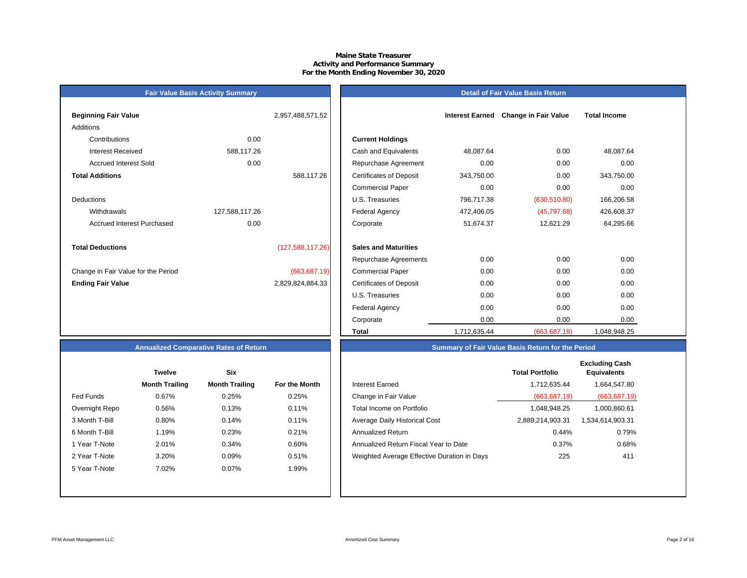#### **Maine State Treasurer Activity and Performance Summary For the Month Ending November 30, 2020**

## **Fair Value Basis Activity Summary**

|  | Detail of Fair Value Basis Return |  |
|--|-----------------------------------|--|

| <b>Beginning Fair Value</b>         |                | 2,957,488,571.52 |                                |
|-------------------------------------|----------------|------------------|--------------------------------|
| Additions                           |                |                  |                                |
| Contributions                       | 0.00           |                  | <b>Current Holdings</b>        |
| Interest Received                   | 588,117.26     |                  | Cash and Equivalents           |
| <b>Accrued Interest Sold</b>        | 0.00           |                  | Repurchase Agreeme             |
| <b>Total Additions</b>              |                | 588,117.26       | <b>Certificates of Deposit</b> |
|                                     |                |                  | <b>Commercial Paper</b>        |
| <b>Deductions</b>                   |                |                  | U.S. Treasuries                |
| Withdrawals                         | 127,588,117.26 |                  | <b>Federal Agency</b>          |
| Accrued Interest Purchased          | 0.00           |                  | Corporate                      |
|                                     |                |                  |                                |
| <b>Total Deductions</b>             |                | (127,588,117.26) | <b>Sales and Maturities</b>    |
|                                     |                |                  | Repurchase Agreeme             |
| Change in Fair Value for the Period |                | (663, 687.19)    | <b>Commercial Paper</b>        |
| <b>Ending Fair Value</b>            |                | 2,829,824,884.33 | <b>Certificates of Deposit</b> |

| Beginning Fair Value                |                | 2,957,488,571.52   |                                | <b>Interest Earned</b> | <b>Change in Fair Value</b> | <b>Total Income</b> |  |
|-------------------------------------|----------------|--------------------|--------------------------------|------------------------|-----------------------------|---------------------|--|
| Additions                           |                |                    |                                |                        |                             |                     |  |
| Contributions                       | 0.00           |                    | <b>Current Holdings</b>        |                        |                             |                     |  |
| <b>Interest Received</b>            | 588,117.26     |                    | Cash and Equivalents           | 48,087.64              | 0.00                        | 48,087.64           |  |
| <b>Accrued Interest Sold</b>        | 0.00           |                    | Repurchase Agreement           | 0.00                   | 0.00                        | 0.00                |  |
| <b>Total Additions</b>              |                | 588,117.26         | <b>Certificates of Deposit</b> | 343,750.00             | 0.00                        | 343,750.00          |  |
|                                     |                |                    | <b>Commercial Paper</b>        | 0.00                   | 0.00                        | 0.00                |  |
| Deductions                          |                |                    | U.S. Treasuries                | 796,717.38             | (630, 510.80)               | 166,206.58          |  |
| Withdrawals                         | 127,588,117.26 |                    | <b>Federal Agency</b>          | 472,406.05             | (45,797.68)                 | 426,608.37          |  |
| <b>Accrued Interest Purchased</b>   | 0.00           |                    | Corporate                      | 51,674.37              | 12,621.29                   | 64,295.66           |  |
| <b>Total Deductions</b>             |                | (127, 588, 117.26) | <b>Sales and Maturities</b>    |                        |                             |                     |  |
|                                     |                |                    | Repurchase Agreements          | 0.00                   | 0.00                        | 0.00                |  |
| Change in Fair Value for the Period |                | (663, 687.19)      | <b>Commercial Paper</b>        | 0.00                   | 0.00                        | 0.00                |  |
| <b>Ending Fair Value</b>            |                | 2,829,824,884.33   | <b>Certificates of Deposit</b> | 0.00                   | 0.00                        | 0.00                |  |
|                                     |                |                    | U.S. Treasuries                | 0.00                   | 0.00                        | 0.00                |  |
|                                     |                |                    | Federal Agency                 | 0.00                   | 0.00                        | 0.00                |  |
|                                     |                |                    | Corporate                      | 0.00                   | 0.00                        | 0.00                |  |
|                                     |                |                    | Total                          | 1,712,635.44           | (663, 687.19)               | 1,048,948.25        |  |

#### **Annualized Comparative Rates of Return**

|                | <b>Twelve</b>         | <b>Six</b>            |                      |
|----------------|-----------------------|-----------------------|----------------------|
|                | <b>Month Trailing</b> | <b>Month Trailing</b> | <b>For the Month</b> |
| Fed Funds      | 0.67%                 | 0.25%                 | 0.25%                |
| Overnight Repo | 0.56%                 | 0.13%                 | 0.11%                |
| 3 Month T-Bill | 0.80%                 | 0.14%                 | 0.11%                |
| 6 Month T-Bill | 1.19%                 | 0.23%                 | 0.21%                |
| 1 Year T-Note  | 2.01%                 | 0.34%                 | 0.60%                |
| 2 Year T-Note  | 3.20%                 | 0.09%                 | 0.51%                |
| 5 Year T-Note  | 7.02%                 | 0.07%                 | 1.99%                |
|                |                       |                       |                      |
|                |                       |                       |                      |

|                | <b>Twelve</b>         | Six                   |               |                                             | <b>Total Portfolio</b> | <b>Excluding Cash</b><br><b>Equivalents</b> |
|----------------|-----------------------|-----------------------|---------------|---------------------------------------------|------------------------|---------------------------------------------|
|                | <b>Month Trailing</b> | <b>Month Trailing</b> | For the Month | Interest Earned                             | 1,712,635.44           | 1,664,547.80                                |
| Fed Funds      | 0.67%                 | 0.25%                 | 0.25%         | Change in Fair Value                        | (663, 687.19)          | (663, 687.19)                               |
| Overnight Repo | 0.56%                 | 0.13%                 | 0.11%         | Total Income on Portfolio                   | 1.048.948.25           | 1,000,860.61                                |
| 3 Month T-Bill | 0.80%                 | 0.14%                 | 0.11%         | Average Daily Historical Cost               | 2,889,214,903.31       | 1,534,614,903.31                            |
| 6 Month T-Bill | 1.19%                 | 0.23%                 | 0.21%         | Annualized Return                           | 0.44%                  | 0.79%                                       |
| 1 Year T-Note  | 2.01%                 | 0.34%                 | 0.60%         | Annualized Return Fiscal Year to Date       | 0.37%                  | 0.68%                                       |
| 2 Year T-Note  | 3.20%                 | $0.09\%$              | 0.51%         | Weighted Average Effective Duration in Days | 225                    | 411                                         |
| 5 Year T-Note  | 7.02%                 | $0.07\%$              | 1.99%         |                                             |                        |                                             |
|                |                       |                       |               |                                             |                        |                                             |

**Summary of Fair Value Basis Return for the Period**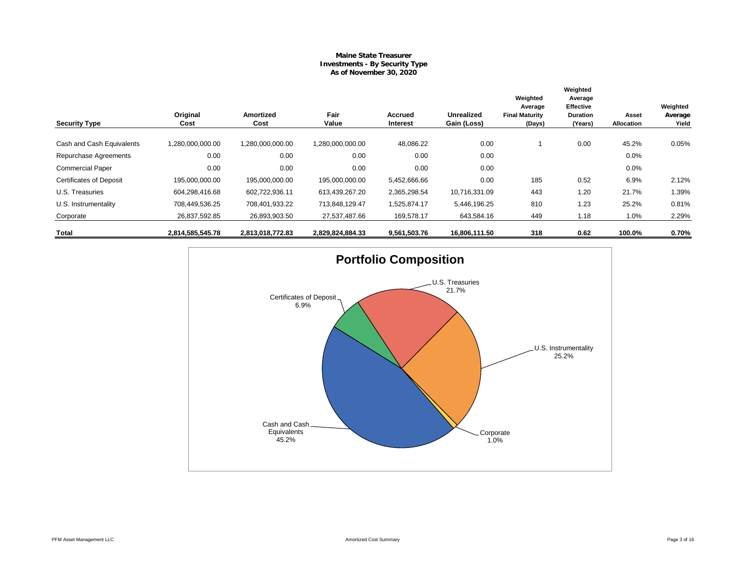#### **Maine State Treasurer Investments - By Security Type As of November 30, 2020**

| <b>Security Type</b>           | Original<br>Cost | Amortized<br>Cost | Fair<br>Value    | Accrued<br>Interest | <b>Unrealized</b><br>Gain (Loss) | Weighted<br>Average<br><b>Final Maturity</b><br>(Days) | Weighted<br>Average<br><b>Effective</b><br><b>Duration</b><br>(Years) | Asset<br>Allocation | Weighted<br>Average<br>Yield |
|--------------------------------|------------------|-------------------|------------------|---------------------|----------------------------------|--------------------------------------------------------|-----------------------------------------------------------------------|---------------------|------------------------------|
|                                |                  |                   |                  |                     |                                  |                                                        |                                                                       |                     |                              |
| Cash and Cash Equivalents      | 1,280,000,000.00 | 1,280,000,000.00  | 1,280,000,000.00 | 48,086.22           | 0.00                             |                                                        | 0.00                                                                  | 45.2%               | 0.05%                        |
| Repurchase Agreements          | 0.00             | 0.00              | 0.00             | 0.00                | 0.00                             |                                                        |                                                                       | 0.0%                |                              |
| <b>Commercial Paper</b>        | 0.00             | 0.00              | 0.00             | 0.00                | 0.00                             |                                                        |                                                                       | 0.0%                |                              |
| <b>Certificates of Deposit</b> | 195,000,000.00   | 195,000,000.00    | 195,000,000.00   | 5,452,666.66        | 0.00                             | 185                                                    | 0.52                                                                  | 6.9%                | 2.12%                        |
| U.S. Treasuries                | 604,298,416.68   | 602,722,936.11    | 613,439,267.20   | 2,365,298.54        | 10,716,331.09                    | 443                                                    | 1.20                                                                  | 21.7%               | 1.39%                        |
| U.S. Instrumentality           | 708,449,536.25   | 708,401,933.22    | 713,848,129.47   | 1,525,874.17        | 5,446,196.25                     | 810                                                    | 1.23                                                                  | 25.2%               | 0.81%                        |
| Corporate                      | 26,837,592.85    | 26,893,903.50     | 27,537,487.66    | 169,578.17          | 643,584.16                       | 449                                                    | 1.18                                                                  | 1.0%                | 2.29%                        |
| Total                          | 2,814,585,545.78 | 2,813,018,772.83  | 2,829,824,884.33 | 9,561,503.76        | 16,806,111.50                    | 318                                                    | 0.62                                                                  | 100.0%              | 0.70%                        |

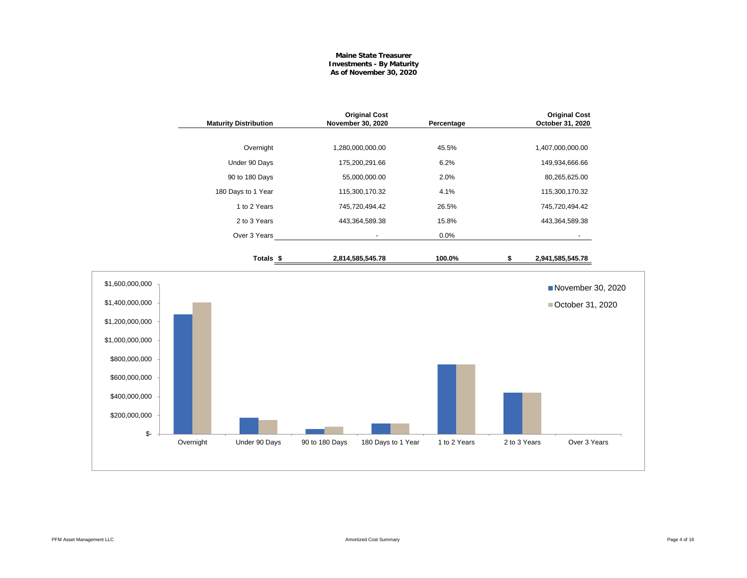#### **Maine State Treasurer Investments - By Maturity As of November 30, 2020**

|                                                                                                                                                     | <b>Maturity Distribution</b> |                      | November 30, 2020 | <b>Original Cost</b> | Percentage   |              | <b>Original Cost</b><br>October 31, 2020 |  |
|-----------------------------------------------------------------------------------------------------------------------------------------------------|------------------------------|----------------------|-------------------|----------------------|--------------|--------------|------------------------------------------|--|
|                                                                                                                                                     |                              | Overnight            |                   | 1,280,000,000.00     | 45.5%        |              | 1,407,000,000.00                         |  |
|                                                                                                                                                     |                              | Under 90 Days        |                   | 175,200,291.66       | 6.2%         |              | 149,934,666.66                           |  |
|                                                                                                                                                     |                              | 90 to 180 Days       |                   | 55,000,000.00        | 2.0%         |              | 80,265,625.00                            |  |
|                                                                                                                                                     |                              | 180 Days to 1 Year   |                   | 115,300,170.32       | 4.1%         |              | 115,300,170.32                           |  |
|                                                                                                                                                     |                              | 1 to 2 Years         |                   | 745,720,494.42       | 26.5%        |              | 745,720,494.42                           |  |
|                                                                                                                                                     |                              | 2 to 3 Years         |                   | 443,364,589.38       | 15.8%        |              | 443,364,589.38                           |  |
|                                                                                                                                                     |                              | Over 3 Years         |                   | $\blacksquare$       | 0.0%         |              |                                          |  |
|                                                                                                                                                     |                              | Totals <sub>\$</sub> |                   | 2,814,585,545.78     | 100.0%       | \$           | 2,941,585,545.78                         |  |
| \$1,600,000,000<br>\$1,400,000,000<br>\$1,200,000,000<br>\$1,000,000,000<br>\$800,000,000<br>\$600,000,000<br>\$400,000,000<br>\$200,000,000<br>\$- |                              |                      |                   |                      |              |              | November 30, 2020<br>■ October 31, 2020  |  |
|                                                                                                                                                     | Overnight                    | Under 90 Days        | 90 to 180 Days    | 180 Days to 1 Year   | 1 to 2 Years | 2 to 3 Years | Over 3 Years                             |  |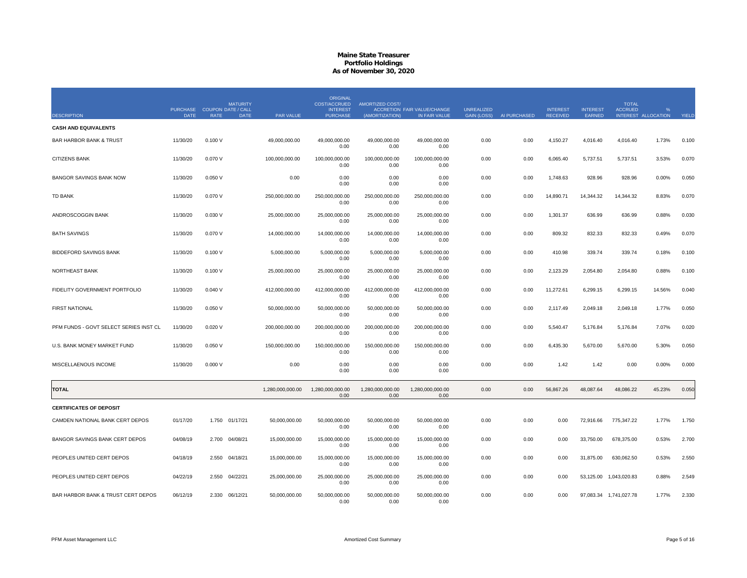|                                        |                                            |             | <b>MATURITY</b> |                  | <b>ORIGINAL</b><br><b>COST/ACCRUED</b> | <b>AMORTIZED COST/</b>   |                                                     |                                         |              |                                    |                           | <b>TOTAL</b>           |                     |       |
|----------------------------------------|--------------------------------------------|-------------|-----------------|------------------|----------------------------------------|--------------------------|-----------------------------------------------------|-----------------------------------------|--------------|------------------------------------|---------------------------|------------------------|---------------------|-------|
| <b>DESCRIPTION</b>                     | PURCHASE COUPON DATE / CALL<br><b>DATE</b> | <b>RATE</b> | <b>DATE</b>     | PAR VALUE        | <b>INTEREST</b><br><b>PURCHASE</b>     | (AMORTIZATION)           | <b>ACCRETION FAIR VALUE/CHANGE</b><br>IN FAIR VALUE | <b>UNREALIZED</b><br><b>GAIN (LOSS)</b> | AI PURCHASED | <b>INTEREST</b><br><b>RECEIVED</b> | <b>INTEREST</b><br>EARNED | <b>ACCRUED</b>         | INTEREST ALLOCATION | YIELD |
| <b>CASH AND EQUIVALENTS</b>            |                                            |             |                 |                  |                                        |                          |                                                     |                                         |              |                                    |                           |                        |                     |       |
| <b>BAR HARBOR BANK &amp; TRUST</b>     | 11/30/20                                   | 0.100V      |                 | 49,000,000.00    | 49,000,000.00<br>0.00                  | 49,000,000.00<br>0.00    | 49,000,000.00<br>0.00                               | 0.00                                    | 0.00         | 4,150.27                           | 4,016.40                  | 4,016.40               | 1.73%               | 0.100 |
| CITIZENS BANK                          | 11/30/20                                   | 0.070 V     |                 | 100,000,000.00   | 100,000,000.00<br>0.00                 | 100,000,000.00<br>0.00   | 100,000,000.00<br>0.00                              | 0.00                                    | 0.00         | 6,065.40                           | 5,737.51                  | 5,737.51               | 3.53%               | 0.070 |
| <b>BANGOR SAVINGS BANK NOW</b>         | 11/30/20                                   | 0.050V      |                 | 0.00             | 0.00<br>0.00                           | 0.00<br>0.00             | 0.00<br>0.00                                        | 0.00                                    | 0.00         | 1,748.63                           | 928.96                    | 928.96                 | 0.00%               | 0.050 |
| <b>TD BANK</b>                         | 11/30/20                                   | 0.070 V     |                 | 250,000,000.00   | 250,000,000.00<br>0.00                 | 250,000,000.00<br>0.00   | 250,000,000.00<br>0.00                              | 0.00                                    | 0.00         | 14,890.71                          | 14,344.32                 | 14,344.32              | 8.83%               | 0.070 |
| ANDROSCOGGIN BANK                      | 11/30/20                                   | 0.030V      |                 | 25,000,000.00    | 25,000,000.00<br>0.00                  | 25.000.000.00<br>0.00    | 25,000,000.00<br>0.00                               | 0.00                                    | 0.00         | 1,301.37                           | 636.99                    | 636.99                 | 0.88%               | 0.030 |
| <b>BATH SAVINGS</b>                    | 11/30/20                                   | 0.070 V     |                 | 14,000,000.00    | 14,000,000.00<br>0.00                  | 14,000,000.00<br>0.00    | 14,000,000.00<br>0.00                               | 0.00                                    | 0.00         | 809.32                             | 832.33                    | 832.33                 | 0.49%               | 0.070 |
| <b>BIDDEFORD SAVINGS BANK</b>          | 11/30/20                                   | 0.100V      |                 | 5.000.000.00     | 5.000.000.00<br>0.00                   | 5.000.000.00<br>0.00     | 5.000.000.00<br>0.00                                | 0.00                                    | 0.00         | 410.98                             | 339.74                    | 339.74                 | 0.18%               | 0.100 |
| NORTHEAST BANK                         | 11/30/20                                   | 0.100V      |                 | 25,000,000.00    | 25,000,000.00<br>0.00                  | 25,000,000.00<br>0.00    | 25,000,000.00<br>0.00                               | 0.00                                    | 0.00         | 2,123.29                           | 2,054.80                  | 2,054.80               | 0.88%               | 0.100 |
| FIDELITY GOVERNMENT PORTFOLIO          | 11/30/20                                   | 0.040V      |                 | 412,000,000.00   | 412,000,000.00<br>0.00                 | 412,000,000.00<br>0.00   | 412,000,000.00<br>0.00                              | 0.00                                    | 0.00         | 11,272.61                          | 6,299.15                  | 6,299.15               | 14.56%              | 0.040 |
| <b>FIRST NATIONAL</b>                  | 11/30/20                                   | 0.050V      |                 | 50,000,000.00    | 50,000,000.00<br>0.00                  | 50,000,000.00<br>0.00    | 50,000,000.00<br>0.00                               | 0.00                                    | 0.00         | 2,117.49                           | 2,049.18                  | 2,049.18               | 1.77%               | 0.050 |
| PFM FUNDS - GOVT SELECT SERIES INST CL | 11/30/20                                   | 0.020V      |                 | 200,000,000.00   | 200,000,000.00<br>0.00                 | 200,000,000.00<br>0.00   | 200,000,000.00<br>0.00                              | 0.00                                    | 0.00         | 5,540.47                           | 5,176.84                  | 5,176.84               | 7.07%               | 0.020 |
| U.S. BANK MONEY MARKET FUND            | 11/30/20                                   | 0.050V      |                 | 150,000,000.00   | 150,000,000.00<br>0.00                 | 150,000,000.00<br>0.00   | 150,000,000.00<br>0.00                              | 0.00                                    | 0.00         | 6,435.30                           | 5,670.00                  | 5,670.00               | 5.30%               | 0.050 |
| MISCELLAENOUS INCOME                   | 11/30/20                                   | 0.000V      |                 | 0.00             | 0.00<br>0.00                           | 0.00<br>0.00             | 0.00<br>0.00                                        | 0.00                                    | 0.00         | 1.42                               | 1.42                      | 0.00                   | 0.00%               | 0.000 |
| <b>TOTAL</b>                           |                                            |             |                 | 1,280,000,000.00 | 1,280,000,000.00<br>0.00               | 1,280,000,000.00<br>0.00 | 1,280,000,000.00<br>0.00                            | 0.00                                    | 0.00         | 56,867.26                          | 48,087.64                 | 48,086.22              | 45.23%              | 0.050 |
| <b>CERTIFICATES OF DEPOSIT</b>         |                                            |             |                 |                  |                                        |                          |                                                     |                                         |              |                                    |                           |                        |                     |       |
| CAMDEN NATIONAL BANK CERT DEPOS        | 01/17/20                                   | 1.750       | 01/17/21        | 50,000,000.00    | 50,000,000.00<br>0.00                  | 50,000,000.00<br>0.00    | 50,000,000.00<br>0.00                               | 0.00                                    | 0.00         | 0.00                               | 72,916.66                 | 775,347.22             | 1.77%               | 1.750 |
| BANGOR SAVINGS BANK CERT DEPOS         | 04/08/19                                   |             | 2.700 04/08/21  | 15,000,000.00    | 15,000,000.00<br>0.00                  | 15,000,000.00<br>0.00    | 15,000,000.00<br>0.00                               | 0.00                                    | 0.00         | 0.00                               | 33,750.00                 | 678,375.00             | 0.53%               | 2.700 |
| PEOPLES UNITED CERT DEPOS              | 04/18/19                                   | 2.550       | 04/18/21        | 15,000,000.00    | 15,000,000.00<br>0.00                  | 15.000.000.00<br>0.00    | 15,000,000.00<br>0.00                               | 0.00                                    | 0.00         | 0.00                               | 31,875.00                 | 630,062.50             | 0.53%               | 2.550 |
| PEOPLES UNITED CERT DEPOS              | 04/22/19                                   | 2.550       | 04/22/21        | 25,000,000.00    | 25,000,000.00<br>0.00                  | 25,000,000.00<br>0.00    | 25,000,000.00<br>0.00                               | 0.00                                    | 0.00         | 0.00                               | 53,125.00                 | 1,043,020.83           | 0.88%               | 2.549 |
| BAR HARBOR BANK & TRUST CERT DEPOS     | 06/12/19                                   |             | 2.330 06/12/21  | 50,000,000.00    | 50,000,000.00<br>0.00                  | 50,000,000.00<br>0.00    | 50,000,000.00<br>0.00                               | 0.00                                    | 0.00         | 0.00                               |                           | 97,083.34 1,741,027.78 | 1.77%               | 2.330 |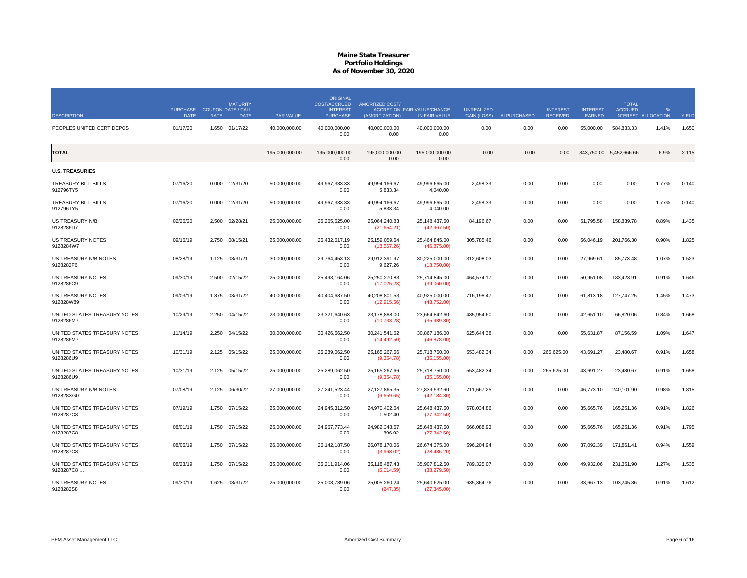|                                            |                                            |             | <b>MATURITY</b> |                  | <b>ORIGINAL</b><br>COST/ACCRUED    | <b>AMORTIZED COST/</b>          |                                              |                                         |              |                                    |                           | <b>TOTAL</b>                          |                           |       |
|--------------------------------------------|--------------------------------------------|-------------|-----------------|------------------|------------------------------------|---------------------------------|----------------------------------------------|-----------------------------------------|--------------|------------------------------------|---------------------------|---------------------------------------|---------------------------|-------|
| <b>DESCRIPTION</b>                         | PURCHASE COUPON DATE / CALL<br><b>DATE</b> | <b>RATE</b> | <b>DATE</b>     | <b>PAR VALUE</b> | <b>INTEREST</b><br><b>PURCHASE</b> | (AMORTIZATION)                  | ACCRETION FAIR VALUE/CHANGE<br>IN FAIR VALUE | <b>UNREALIZED</b><br><b>GAIN (LOSS)</b> | AI PURCHASED | <b>INTEREST</b><br><b>RECEIVED</b> | <b>INTEREST</b><br>EARNED | <b>ACCRUED</b><br>INTEREST ALLOCATION | $\mathcal{O}/\mathcal{O}$ | YIELD |
| PEOPLES UNITED CERT DEPOS                  | 01/17/20                                   | 1.650       | 01/17/22        | 40.000.000.00    | 40.000.000.00<br>0.00              | 40.000.000.00<br>0.00           | 40.000.000.00<br>0.00                        | 0.00                                    | 0.00         | 0.00                               | 55,000.00                 | 584.833.33                            | 1.41%                     | 1.650 |
| <b>TOTAL</b>                               |                                            |             |                 | 195.000.000.00   | 195.000.000.00<br>0.00             | 195.000.000.00<br>0.00          | 195.000.000.00<br>0.00                       | 0.00                                    | 0.00         | 0.00                               |                           | 343,750.00 5,452,666.66               | 6.9%                      | 2.115 |
| <b>U.S. TREASURIES</b>                     |                                            |             |                 |                  |                                    |                                 |                                              |                                         |              |                                    |                           |                                       |                           |       |
| TREASURY BILL BILLS<br>912796TY5           | 07/16/20                                   | 0.000       | 12/31/20        | 50,000,000.00    | 49,967,333.33<br>0.00              | 49,994,166.67<br>5,833.34       | 49,996,665.00<br>4,040.00                    | 2,498.33                                | 0.00         | 0.00                               | 0.00                      | 0.00                                  | 1.77%                     | 0.140 |
| TREASURY BILL BILLS<br>912796TY5.          | 07/16/20                                   | 0.000       | 12/31/20        | 50,000,000.00    | 49,967,333.33<br>0.00              | 49,994,166.67<br>5,833.34       | 49,996,665.00<br>4,040.00                    | 2,498.33                                | 0.00         | 0.00                               | 0.00                      | 0.00                                  | 1.77%                     | 0.140 |
| US TREASURY N/B<br>9128286D7               | 02/26/20                                   | 2.500       | 02/28/21        | 25,000,000.00    | 25,265,625.00<br>0.00              | 25,064,240.83<br>(21,654.21)    | 25, 148, 437.50<br>(42,967.50)               | 84,196.67                               | 0.00         | 0.00                               | 51,795.58                 | 158,839.78                            | 0.89%                     | 1.435 |
| US TREASURY NOTES<br>9128284W7             | 09/16/19                                   | 2.750       | 08/15/21        | 25,000,000.00    | 25,432,617.19<br>0.00              | 25, 159, 059.54<br>(18, 567.26) | 25,464,845.00<br>(46,875.00)                 | 305,785.46                              | 0.00         | 0.00                               | 56,046.19                 | 201,766.30                            | 0.90%                     | 1.825 |
| US TREASURY N/B NOTES<br>9128282F6         | 08/28/19                                   | 1.125       | 08/31/21        | 30,000,000.00    | 29,764,453.13<br>0.00              | 29,912,391.97<br>9,627.26       | 30,225,000.00<br>(18,750.00)                 | 312,608.03                              | 0.00         | 0.00                               | 27,969.61                 | 85,773.48                             | 1.07%                     | 1.523 |
| <b>US TREASURY NOTES</b><br>9128286C9      | 09/30/19                                   | 2.500       | 02/15/22        | 25,000,000.00    | 25,493,164.06<br>0.00              | 25,250,270.83<br>(17,025.23)    | 25,714,845.00<br>(39,060.00)                 | 464,574.17                              | 0.00         | 0.00                               | 50,951.08                 | 183,423.91                            | 0.91%                     | 1.649 |
| US TREASURY NOTES<br>912828W89             | 09/03/19                                   |             | 1.875 03/31/22  | 40,000,000.00    | 40,404,687.50<br>0.00              | 40,208,801.53<br>(12, 915.56)   | 40,925,000.00<br>(43,752.00)                 | 716,198.47                              | 0.00         | 0.00                               | 61.813.18                 | 127,747.25                            | 1.45%                     | 1.473 |
| UNITED STATES TREASURY NOTES<br>9128286M7  | 10/29/19                                   | 2.250       | 04/15/22        | 23,000,000.00    | 23,321,640.63<br>0.00              | 23,178,888.00<br>(10, 733.28)   | 23,664,842.60<br>(35,939.80)                 | 485,954.60                              | 0.00         | 0.00                               | 42,651.10                 | 66,820.06                             | 0.84%                     | 1.668 |
| UNITED STATES TREASURY NOTES<br>9128286M7. | 11/14/19                                   | 2.250       | 04/15/22        | 30,000,000.00    | 30,426,562.50<br>0.00              | 30,241,541.62<br>(14, 492.50)   | 30,867,186.00<br>(46,878.00)                 | 625,644.38                              | 0.00         | 0.00                               | 55,631.87                 | 87,156.59                             | 1.09%                     | 1.647 |
| UNITED STATES TREASURY NOTES<br>9128286U9  | 10/31/19                                   | 2.125       | 05/15/22        | 25,000,000.00    | 25,289,062.50<br>0.00              | 25, 165, 267.66<br>(9,354.78)   | 25,718,750.00<br>(35, 155.00)                | 553,482.34                              | 0.00         | 265,625.00                         | 43,691.27                 | 23,480.67                             | 0.91%                     | 1.658 |
| UNITED STATES TREASURY NOTES<br>9128286U9. | 10/31/19                                   | 2.125       | 05/15/22        | 25,000,000.00    | 25,289,062.50<br>0.00              | 25, 165, 267. 66<br>(9,354.78)  | 25,718,750.00<br>(35, 155.00)                | 553,482.34                              | 0.00         | 265,625.00                         | 43,691.27                 | 23,480.67                             | 0.91%                     | 1.658 |
| US TREASURY N/B NOTES<br>912828XG0         | 07/08/19                                   | 2.125       | 06/30/22        | 27,000,000.00    | 27,241,523.44<br>0.00              | 27,127,865.35<br>(6,659.65)     | 27,839,532.60<br>(42, 184.80)                | 711,667.25                              | 0.00         | 0.00                               | 46,773.10                 | 240,101.90                            | 0.98%                     | 1.815 |
| UNITED STATES TREASURY NOTES<br>9128287C8  | 07/19/19                                   | 1.750       | 07/15/22        | 25,000,000.00    | 24,945,312.50<br>0.00              | 24,970,402.64<br>1,502.40       | 25,648,437.50<br>(27, 342.50)                | 678,034.86                              | 0.00         | 0.00                               | 35,665.76                 | 165,251.36                            | 0.91%                     | 1.826 |
| UNITED STATES TREASURY NOTES<br>9128287C8  | 08/01/19                                   | 1.750       | 07/15/22        | 25,000,000.00    | 24.967.773.44<br>0.00              | 24.982.348.57<br>896.02         | 25.648.437.50<br>(27, 342.50)                | 666,088.93                              | 0.00         | 0.00                               | 35,665.76                 | 165,251.36                            | 0.91%                     | 1.795 |
| UNITED STATES TREASURY NOTES<br>9128287C8. | 08/05/19                                   | 1.750       | 07/15/22        | 26,000,000.00    | 26, 142, 187.50<br>0.00            | 26,078,170.06<br>(3,968.02)     | 26,674,375.00<br>(28, 436.20)                | 596,204.94                              | 0.00         | 0.00                               | 37,092.39                 | 171,861.41                            | 0.94%                     | 1.559 |
| UNITED STATES TREASURY NOTES<br>9128287C8  | 08/23/19                                   |             | 1.750 07/15/22  | 35,000,000.00    | 35,211,914.06<br>0.00              | 35,118,487.43<br>(6,014.59)     | 35,907,812.50<br>(38, 279.50)                | 789,325.07                              | 0.00         | 0.00                               | 49,932.06                 | 231,351.90                            | 1.27%                     | 1.535 |
| <b>US TREASURY NOTES</b><br>9128282S8      | 09/30/19                                   |             | 1.625 08/31/22  | 25.000.000.00    | 25.008.789.06<br>0.00              | 25,005,260.24<br>(247.35)       | 25,640,625.00<br>(27, 345.00)                | 635,364.76                              | 0.00         | 0.00                               | 33,667.13                 | 103.245.86                            | 0.91%                     | 1.612 |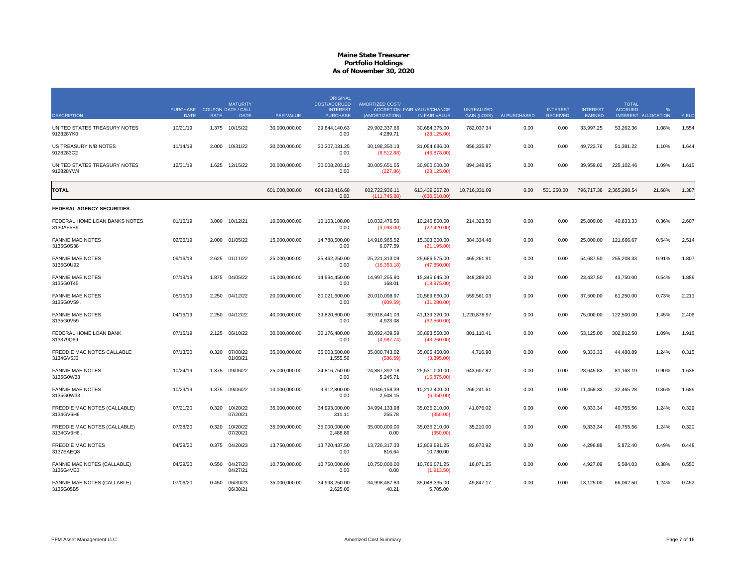|                                            | PURCHASE COUPON DATE / CALL |             | <b>MATURITY</b>      |                  | <b>ORIGINAL</b><br><b>COST/ACCRUED</b><br><b>INTEREST</b> | <b>AMORTIZED COST/</b>         | <b>ACCRETION FAIR VALUE/CHANGE</b> | <b>UNREALIZED</b>  |              | <b>INTEREST</b> | <b>INTEREST</b> | <b>TOTAL</b><br><b>ACCRUED</b> | $O_{\ell}$          |       |
|--------------------------------------------|-----------------------------|-------------|----------------------|------------------|-----------------------------------------------------------|--------------------------------|------------------------------------|--------------------|--------------|-----------------|-----------------|--------------------------------|---------------------|-------|
| <b>DESCRIPTION</b>                         | <b>DATE</b>                 | <b>RATE</b> | <b>DATE</b>          | <b>PAR VALUE</b> | <b>PURCHASE</b>                                           | (AMORTIZATION)                 | IN FAIR VALUE                      | <b>GAIN (LOSS)</b> | AI PURCHASED | <b>RECEIVED</b> | EARNED          |                                | INTEREST ALLOCATION | YIELD |
| UNITED STATES TREASURY NOTES<br>912828YK0  | 10/21/19                    | 1.375       | 10/15/22             | 30,000,000.00    | 29,844,140.63<br>0.00                                     | 29,902,337.66<br>4,289.71      | 30,684,375.00<br>(28, 125.00)      | 782,037.34         | 0.00         | 0.00            | 33,997.25       | 53,262.36                      | 1.08%               | 1.554 |
| US TREASURY N/B NOTES<br>9128283C2         | 11/14/19                    | 2.000       | 10/31/22             | 30,000,000.00    | 30,307,031.25<br>0.00                                     | 30,198,350.13<br>(8,512.88)    | 31,054,686.00<br>(46,878.00)       | 856,335.87         | 0.00         | 0.00            | 49,723.76       | 51,381.22                      | 1.10%               | 1.644 |
| UNITED STATES TREASURY NOTES<br>912828YW4  | 12/31/19                    | 1.625       | 12/15/22             | 30,000,000.00    | 30,008,203.13<br>0.00                                     | 30,005,651.05<br>(227.86)      | 30,900,000.00<br>(28, 125.00)      | 894,348.95         | 0.00         | 0.00            | 39,959.02       | 225,102.46                     | 1.09%               | 1.615 |
| <b>TOTAL</b>                               |                             |             |                      | 601,000,000.00   | 604,298,416.68<br>0.00                                    | 602,722,936.11<br>(111.745.88) | 613,439,267.20<br>(630.510.80)     | 10,716,331.09      | 0.00         | 531,250.00      |                 | 796,717.38 2,365,298.54        | 21.68%              | 1.387 |
| FEDERAL AGENCY SECURITIES                  |                             |             |                      |                  |                                                           |                                |                                    |                    |              |                 |                 |                                |                     |       |
| FEDERAL HOME LOAN BANKS NOTES<br>3130AF5B9 | 01/16/19                    | 3.000       | 10/12/21             | 10,000,000.00    | 10,103,100.00<br>0.00                                     | 10,032,476.50<br>(3,093.00)    | 10,246,800.00<br>(22, 420.00)      | 214,323.50         | 0.00         | 0.00            | 25,000.00       | 40,833.33                      | 0.36%               | 2.607 |
| <b>FANNIE MAE NOTES</b><br>3135G0S38       | 02/26/19                    | 2.000       | 01/05/22             | 15,000,000.00    | 14.788.500.00<br>0.00                                     | 14.918.965.52<br>6,077.59      | 15,303,300.00<br>(21, 195.00)      | 384,334.48         | 0.00         | 0.00            | 25,000.00       | 121,666.67                     | 0.54%               | 2.514 |
| <b>FANNIE MAE NOTES</b><br>3135G0U92       | 09/16/19                    | 2.625       | 01/11/22             | 25,000,000.00    | 25,462,250.00<br>0.00                                     | 25,221,313.09<br>(16, 353.18)  | 25,686,575.00<br>(47, 850.00)      | 465,261.91         | 0.00         | 0.00            | 54,687.50       | 255,208.33                     | 0.91%               | 1.807 |
| <b>FANNIE MAE NOTES</b><br>3135G0T45       | 07/19/19                    |             | 1.875 04/05/22       | 15,000,000.00    | 14,994,450.00<br>0.00                                     | 14,997,255.80<br>168.01        | 15,345,645.00<br>(18,975.00)       | 348,389.20         | 0.00         | 0.00            | 23,437.50       | 43,750.00                      | 0.54%               | 1.889 |
| <b>FANNIE MAE NOTES</b><br>3135G0V59       | 05/15/19                    |             | 2.250 04/12/22       | 20,000,000.00    | 20,021,600.00<br>0.00                                     | 20,010,098.97<br>(609.59)      | 20,569,660.00<br>(31, 280.00)      | 559,561.03         | 0.00         | 0.00            | 37,500.00       | 61,250.00                      | 0.73%               | 2.21' |
| <b>FANNIE MAE NOTES</b><br>3135G0V59       | 04/16/19                    | 2.250       | 04/12/22             | 40,000,000.00    | 39,820,800.00<br>0.00                                     | 39.918.441.03<br>4,923.08      | 41,139,320.00<br>(62,560.00)       | 1,220,878.97       | 0.00         | 0.00            | 75,000.00       | 122.500.00                     | 1.45%               | 2.406 |
| FEDERAL HOME LOAN BANK<br>313379Q69        | 07/15/19                    | 2.125       | 06/10/22             | 30,000,000.00    | 30,176,400.00<br>0.00                                     | 30,092,439.59<br>(4,987.74)    | 30,893,550.00<br>(43,260.00)       | 801,110.41         | 0.00         | 0.00            | 53,125.00       | 302,812.50                     | 1.09%               | 1.916 |
| FREDDIE MAC NOTES CALLABLE<br>3134GV5J3    | 07/13/20                    | 0.320       | 07/08/22<br>01/08/21 | 35,000,000.00    | 35,003,500.00<br>1,555.56                                 | 35,000,743.02<br>(586.59)      | 35,005,460.00<br>(3,395.00)        | 4,716.98           | 0.00         | 0.00            | 9,333.33        | 44,488.89                      | 1.24%               | 0.315 |
| <b>FANNIE MAE NOTES</b><br>3135G0W33       | 10/24/19                    | 1.375       | 09/06/22             | 25,000,000.00    | 24.816.750.00<br>0.00                                     | 24.887.392.18<br>5,245.71      | 25.531.000.00<br>(15,875.00)       | 643.607.82         | 0.00         | 0.00            | 28,645.83       | 81,163.19                      | 0.90%               | 1.638 |
| <b>FANNIE MAE NOTES</b><br>3135G0W33.      | 10/29/19                    | 1.375       | 09/06/22             | 10,000,000.00    | 9,912,800.00<br>0.00                                      | 9,946,158.39<br>2,508.15       | 10,212,400.00<br>(6,350.00)        | 266,241.61         | 0.00         | 0.00            | 11,458.33       | 32,465.28                      | 0.36%               | 1.689 |
| FREDDIE MAC NOTES (CALLABLE)<br>3134GV6H6  | 07/21/20                    | 0.320       | 10/20/22<br>07/20/21 | 35,000,000.00    | 34,993,000.00<br>311.11                                   | 34,994,133.98<br>255.78        | 35,035,210.00<br>(350.00)          | 41,076.02          | 0.00         | 0.00            | 9,333.34        | 40,755.56                      | 1.24%               | 0.329 |
| FREDDIE MAC NOTES (CALLABLE)<br>3134GV6H6  | 07/28/20                    | 0.320       | 10/20/22<br>07/20/21 | 35,000,000.00    | 35,000,000.00<br>2,488.89                                 | 35,000,000.00<br>0.00          | 35,035,210.00<br>(350.00)          | 35,210.00          | 0.00         | 0.00            | 9,333.34        | 40,755.56                      | 1.24%               | 0.320 |
| <b>FREDDIE MAC NOTES</b><br>3137EAEQ8      | 04/29/20                    | 0.375       | 04/20/23             | 13,750,000.00    | 13,720,437.50<br>0.00                                     | 13,726,317.33<br>816.64        | 13,809,991.25<br>10,780.00         | 83,673.92          | 0.00         | 0.00            | 4,296.88        | 5,872.40                       | 0.49%               | 0.448 |
| FANNIE MAE NOTES (CALLABLE)<br>3136G4VE0   | 04/29/20                    | 0.550       | 04/27/23<br>04/27/21 | 10,750,000.00    | 10,750,000.00<br>0.00                                     | 10,750,000.00<br>0.00          | 10,766,071.25<br>(1,913.50)        | 16,071.25          | 0.00         | 0.00            | 4,927.09        | 5,584.03                       | 0.38%               | 0.550 |
| FANNIE MAE NOTES (CALLABLE)<br>3135G05B5   | 07/06/20                    | 0.450       | 06/30/23<br>06/30/21 | 35,000,000.00    | 34,998,250.00<br>2,625.00                                 | 34,998,487.83<br>48.21         | 35,048,335.00<br>5,705.00          | 49,847.17          | 0.00         | 0.00            | 13,125.00       | 66,062.50                      | 1.24%               | 0.452 |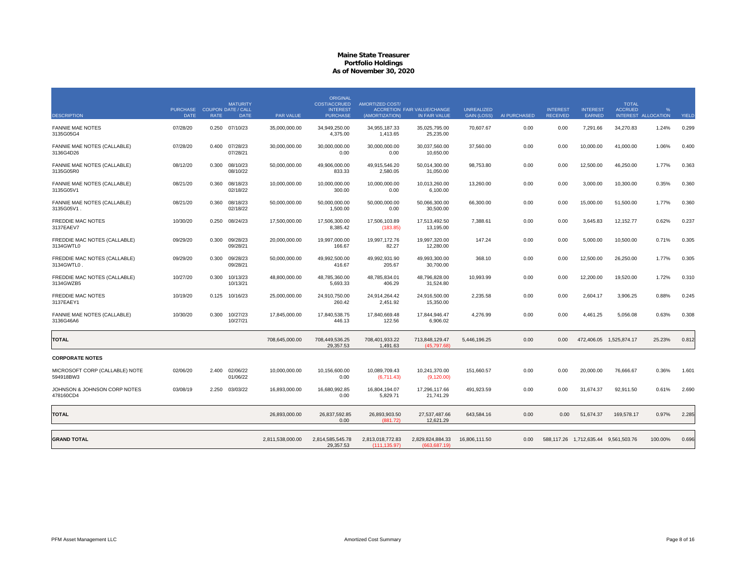| <b>DESCRIPTION</b>                          | PURCHASE COUPON DATE / CALL<br><b>DATE</b> | <b>RATE</b> | <b>MATURITY</b><br><b>DATE</b> | PAR VALUE        | <b>ORIGINAL</b><br><b>COST/ACCRUED</b><br><b>INTEREST</b><br><b>PURCHASE</b> | <b>AMORTIZED COST/</b><br>(AMORTIZATION) | ACCRETION FAIR VALUE/CHANGE<br>IN FAIR VALUE | <b>UNREALIZED</b><br><b>GAIN (LOSS)</b> | AI PURCHASED | <b>INTEREST</b><br><b>RECEIVED</b> | <b>INTEREST</b><br><b>EARNED</b> | <b>TOTAL</b><br><b>ACCRUED</b>       | $\frac{9}{6}$<br>INTEREST ALLOCATION | YIELD |
|---------------------------------------------|--------------------------------------------|-------------|--------------------------------|------------------|------------------------------------------------------------------------------|------------------------------------------|----------------------------------------------|-----------------------------------------|--------------|------------------------------------|----------------------------------|--------------------------------------|--------------------------------------|-------|
| <b>FANNIE MAE NOTES</b><br>3135G05G4        | 07/28/20                                   | 0.250       | 07/10/23                       | 35,000,000.00    | 34,949,250.00<br>4,375.00                                                    | 34,955,187.33<br>1,413.65                | 35,025,795.00<br>25,235.00                   | 70,607.67                               | 0.00         | 0.00                               | 7,291.66                         | 34,270.83                            | 1.24%                                | 0.299 |
| FANNIE MAE NOTES (CALLABLE)<br>3136G4D26    | 07/28/20                                   | 0.400       | 07/28/23<br>07/28/21           | 30,000,000.00    | 30,000,000.00<br>0.00                                                        | 30,000,000.00<br>0.00                    | 30,037,560.00<br>10,650.00                   | 37,560.00                               | 0.00         | 0.00                               | 10,000.00                        | 41,000.00                            | 1.06%                                | 0.400 |
| FANNIE MAE NOTES (CALLABLE)<br>3135G05R0    | 08/12/20                                   | 0.300       | 08/10/23<br>08/10/22           | 50,000,000.00    | 49,906,000.00<br>833.33                                                      | 49,915,546.20<br>2,580.05                | 50,014,300.00<br>31,050.00                   | 98,753.80                               | 0.00         | 0.00                               | 12,500.00                        | 46,250.00                            | 1.77%                                | 0.363 |
| FANNIE MAE NOTES (CALLABLE)<br>3135G05V1    | 08/21/20                                   | 0.360       | 08/18/23<br>02/18/22           | 10,000,000.00    | 10,000,000.00<br>300.00                                                      | 10,000,000.00<br>0.00                    | 10,013,260.00<br>6,100.00                    | 13,260,00                               | 0.00         | 0.00                               | 3,000.00                         | 10,300.00                            | 0.35%                                | 0.360 |
| FANNIE MAE NOTES (CALLABLE)<br>3135G05V1.   | 08/21/20                                   | 0.360       | 08/18/23<br>02/18/22           | 50,000,000.00    | 50,000,000.00<br>1,500.00                                                    | 50,000,000.00<br>0.00                    | 50,066,300.00<br>30,500.00                   | 66,300.00                               | 0.00         | 0.00                               | 15,000.00                        | 51,500.00                            | 1.77%                                | 0.360 |
| <b>FREDDIE MAC NOTES</b><br>3137EAEV7       | 10/30/20                                   | 0.250       | 08/24/23                       | 17,500,000.00    | 17,506,300.00<br>8,385.42                                                    | 17.506.103.89<br>(183.85)                | 17.513.492.50<br>13,195.00                   | 7.388.61                                | 0.00         | 0.00                               | 3.645.83                         | 12,152.77                            | 0.62%                                | 0.237 |
| FREDDIE MAC NOTES (CALLABLE)<br>3134GWTL0   | 09/29/20                                   | 0.300       | 09/28/23<br>09/28/21           | 20,000,000.00    | 19,997,000.00<br>166.67                                                      | 19,997,172.76<br>82.27                   | 19,997,320.00<br>12,280.00                   | 147.24                                  | 0.00         | 0.00                               | 5,000.00                         | 10.500.00                            | 0.71%                                | 0.305 |
| FREDDIE MAC NOTES (CALLABLE)<br>3134GWTL0.  | 09/29/20                                   | 0.300       | 09/28/23<br>09/28/21           | 50.000.000.00    | 49.992.500.00<br>416.67                                                      | 49.992.931.90<br>205.67                  | 49.993.300.00<br>30,700.00                   | 368.10                                  | 0.00         | 0.00                               | 12.500.00                        | 26.250.00                            | 1.77%                                | 0.305 |
| FREDDIE MAC NOTES (CALLABLE)<br>3134GWZB5   | 10/27/20                                   | 0.300       | 10/13/23<br>10/13/21           | 48,800,000.00    | 48,785,360.00<br>5,693.33                                                    | 48,785,834.01<br>406.29                  | 48,796,828.00<br>31,524.80                   | 10,993.99                               | 0.00         | 0.00                               | 12,200.00                        | 19,520.00                            | 1.72%                                | 0.310 |
| <b>FREDDIE MAC NOTES</b><br>3137EAEY1       | 10/19/20                                   | 0.125       | 10/16/23                       | 25,000,000.00    | 24,910,750.00<br>260.42                                                      | 24,914,264.42<br>2,451.92                | 24,916,500.00<br>15,350.00                   | 2.235.58                                | 0.00         | 0.00                               | 2,604.17                         | 3,906.25                             | 0.88%                                | 0.245 |
| FANNIE MAE NOTES (CALLABLE)<br>3136G46A6    | 10/30/20                                   | 0.300       | 10/27/23<br>10/27/21           | 17,845,000.00    | 17,840,538.75<br>446.13                                                      | 17,840,669.48<br>122.56                  | 17,844,946.47<br>6,906.02                    | 4,276.99                                | 0.00         | 0.00                               | 4,461.25                         | 5,056.08                             | 0.63%                                | 0.308 |
| <b>TOTAL</b>                                |                                            |             |                                | 708,645,000.00   | 708,449,536.25<br>29,357.53                                                  | 708,401,933.22<br>1,491.63               | 713,848,129.47<br>(45.797.68)                | 5,446,196.25                            | 0.00         | 0.00                               |                                  | 472,406.05 1,525,874.17              | 25.23%                               | 0.812 |
| <b>CORPORATE NOTES</b>                      |                                            |             |                                |                  |                                                                              |                                          |                                              |                                         |              |                                    |                                  |                                      |                                      |       |
| MICROSOFT CORP (CALLABLE) NOTE<br>594918BW3 | 02/06/20                                   | 2.400       | 02/06/22<br>01/06/22           | 10.000.000.00    | 10.156.600.00<br>0.00                                                        | 10.089.709.43<br>(6,711.43)              | 10,241,370.00<br>(9,120.00)                  | 151.660.57                              | 0.00         | 0.00                               | 20,000,00                        | 76.666.67                            | 0.36%                                | 1.601 |
| JOHNSON & JOHNSON CORP NOTES<br>478160CD4   | 03/08/19                                   | 2.250       | 03/03/22                       | 16,893,000.00    | 16,680,992.85<br>0.00                                                        | 16,804,194.07<br>5,829.71                | 17,296,117.66<br>21,741.29                   | 491,923.59                              | 0.00         | 0.00                               | 31,674.37                        | 92,911.50                            | 0.61%                                | 2.690 |
| <b>TOTAL</b>                                |                                            |             |                                | 26,893,000.00    | 26,837,592.85<br>0.00                                                        | 26,893,903.50<br>(881.72)                | 27,537,487.66<br>12,621.29                   | 643.584.16                              | 0.00         | 0.00                               | 51.674.37                        | 169,578.17                           | 0.97%                                | 2.285 |
| <b>GRAND TOTAL</b>                          |                                            |             |                                | 2,811,538,000.00 | 2,814,585,545.78<br>29,357.53                                                | 2,813,018,772.83<br>(111, 135.97)        | 2,829,824,884.33<br>(663, 687.19)            | 16,806,111.50                           | 0.00         |                                    |                                  | 588,117.26 1,712,635.44 9,561,503.76 | 100.00%                              | 0.696 |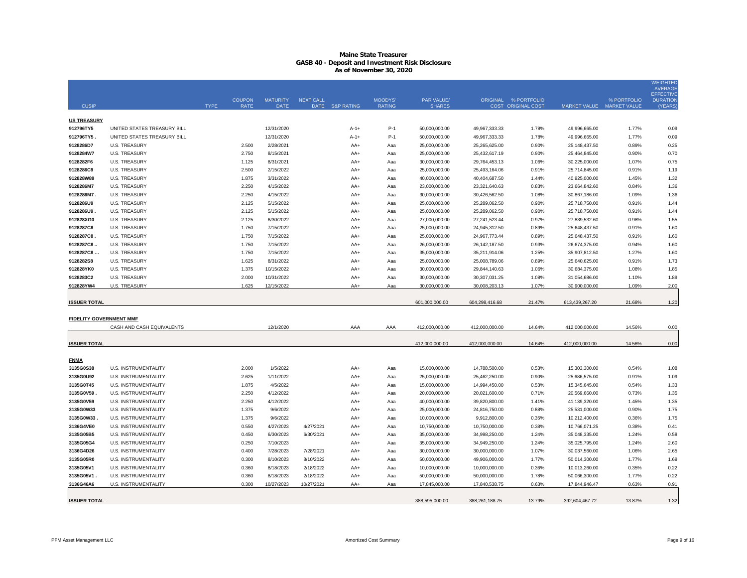| <b>CUSIP</b>                   |                             | <b>TYPE</b> | <b>COUPON</b><br><b>RATE</b> | <b>MATURITY</b><br><b>DATE</b> | <b>NEXT CALL</b> | DATE S&P RATING | <b>MOODYS'</b><br><b>RATING</b> | <b>PAR VALUE/</b><br><b>SHARES</b> |                 | ORIGINAL % PORTFOLIO<br><b>COST ORIGINAL COST</b> |                | % PORTFOLIO<br>MARKET VALUE MARKET VALUE | <b>WEIGHTED</b><br><b>AVERAGE</b><br><b>EFFECTIVE</b><br><b>DURATION</b><br>(YEARS) |
|--------------------------------|-----------------------------|-------------|------------------------------|--------------------------------|------------------|-----------------|---------------------------------|------------------------------------|-----------------|---------------------------------------------------|----------------|------------------------------------------|-------------------------------------------------------------------------------------|
| <b>US TREASURY</b>             |                             |             |                              |                                |                  |                 |                                 |                                    |                 |                                                   |                |                                          |                                                                                     |
| 912796TY5                      | UNITED STATES TREASURY BILL |             |                              | 12/31/2020                     |                  | $A-1+$          | $P-1$                           | 50,000,000.00                      | 49,967,333.33   | 1.78%                                             | 49,996,665.00  | 1.77%                                    | 0.09                                                                                |
| 912796TY5.                     | UNITED STATES TREASURY BILL |             |                              | 12/31/2020                     |                  | $A-1+$          | $P-1$                           | 50,000,000.00                      | 49,967,333.33   | 1.78%                                             | 49,996,665.00  | 1.77%                                    | 0.09                                                                                |
| 9128286D7                      | <b>U.S. TREASURY</b>        |             | 2.500                        | 2/28/2021                      |                  | AA+             | Aaa                             | 25,000,000.00                      | 25,265,625.00   | 0.90%                                             | 25,148,437.50  | 0.89%                                    | 0.25                                                                                |
| 9128284W7                      | <b>U.S. TREASURY</b>        |             | 2.750                        | 8/15/2021                      |                  | AA+             | Aaa                             | 25,000,000.00                      | 25,432,617.19   | 0.90%                                             | 25,464,845.00  | 0.90%                                    | 0.70                                                                                |
| 9128282F6                      | <b>U.S. TREASURY</b>        |             | 1.125                        | 8/31/2021                      |                  | $AA+$           | Aaa                             | 30,000,000.00                      | 29,764,453.13   | 1.06%                                             | 30,225,000.00  | 1.07%                                    | 0.75                                                                                |
| 9128286C9                      | <b>U.S. TREASURY</b>        |             | 2.500                        | 2/15/2022                      |                  | AA+             | Aaa                             | 25,000,000.00                      | 25,493,164.06   | 0.91%                                             | 25,714,845.00  | 0.91%                                    | 1.19                                                                                |
| 912828W89                      | <b>U.S. TREASURY</b>        |             | 1.875                        | 3/31/2022                      |                  | AA+             | Aaa                             | 40,000,000.00                      | 40,404,687.50   | 1.44%                                             | 40,925,000.00  | 1.45%                                    | 1.32                                                                                |
| 9128286M7                      | U.S. TREASURY               |             | 2.250                        | 4/15/2022                      |                  | AA+             | Aaa                             | 23,000,000.00                      | 23,321,640.63   | 0.83%                                             | 23,664,842.60  | 0.84%                                    | 1.36                                                                                |
| 9128286M7.                     | <b>U.S. TREASURY</b>        |             | 2.250                        | 4/15/2022                      |                  | AA+             | Aaa                             | 30,000,000.00                      | 30,426,562.50   | 1.08%                                             | 30,867,186.00  | 1.09%                                    | 1.36                                                                                |
| 9128286U9                      | <b>U.S. TREASURY</b>        |             | 2.125                        | 5/15/2022                      |                  | AA+             | Aaa                             | 25,000,000.00                      | 25,289,062.50   | 0.90%                                             | 25,718,750.00  | 0.91%                                    | 1.44                                                                                |
| 9128286U9.                     | <b>U.S. TREASURY</b>        |             | 2.125                        | 5/15/2022                      |                  | AA+             | Aaa                             | 25,000,000.00                      | 25,289,062.50   | 0.90%                                             | 25,718,750.00  | 0.91%                                    | 1.44                                                                                |
| 912828XG0                      | <b>U.S. TREASURY</b>        |             | 2.125                        | 6/30/2022                      |                  | AA+             | Aaa                             | 27,000,000.00                      | 27,241,523.44   | 0.97%                                             | 27,839,532.60  | 0.98%                                    | 1.55                                                                                |
| 9128287C8                      | <b>U.S. TREASURY</b>        |             | 1.750                        | 7/15/2022                      |                  | AA+             | Aaa                             | 25,000,000.00                      | 24,945,312.50   | 0.89%                                             | 25,648,437.50  | 0.91%                                    | 1.60                                                                                |
| 9128287C8.                     | <b>U.S. TREASURY</b>        |             | 1.750                        | 7/15/2022                      |                  | AA+             | Aaa                             | 25,000,000.00                      | 24,967,773.44   | 0.89%                                             | 25,648,437.50  | 0.91%                                    | 1.60                                                                                |
| 9128287C8                      | <b>U.S. TREASURY</b>        |             | 1.750                        | 7/15/2022                      |                  | AA+             | Aaa                             | 26,000,000.00                      | 26, 142, 187.50 | 0.93%                                             | 26,674,375.00  | 0.94%                                    | 1.60                                                                                |
| 9128287C8                      | <b>U.S. TREASURY</b>        |             | 1.750                        | 7/15/2022                      |                  | $AA+$           | Aaa                             | 35,000,000.00                      | 35,211,914.06   | 1.25%                                             | 35,907,812.50  | 1.27%                                    | 1.60                                                                                |
| 9128282S8                      | <b>U.S. TREASURY</b>        |             | 1.625                        | 8/31/2022                      |                  | AA+             | Aaa                             | 25,000,000.00                      | 25,008,789.06   | 0.89%                                             | 25,640,625.00  | 0.91%                                    | 1.73                                                                                |
| 912828YK0                      | <b>U.S. TREASURY</b>        |             | 1.375                        | 10/15/2022                     |                  | AA+             | Aaa                             | 30,000,000.00                      | 29,844,140.63   | 1.06%                                             | 30,684,375.00  | 1.08%                                    | 1.85                                                                                |
| 9128283C2                      | <b>U.S. TREASURY</b>        |             | 2.000                        | 10/31/2022                     |                  | $AA+$           | Aaa                             | 30,000,000.00                      | 30,307,031.25   | 1.08%                                             | 31,054,686.00  | 1.10%                                    | 1.89                                                                                |
| 912828YW4                      | <b>U.S. TREASURY</b>        |             | 1.625                        | 12/15/2022                     |                  | AA+             | Aaa                             | 30.000.000.00                      | 30,008,203.13   | 1.07%                                             | 30.900.000.00  | 1.09%                                    | 2.00                                                                                |
| <b>ISSUER TOTAL</b>            |                             |             |                              |                                |                  |                 |                                 | 601,000,000.00                     | 604,298,416.68  | 21.47%                                            | 613,439,267.20 | 21.68%                                   | 1.20                                                                                |
| <b>FIDELITY GOVERNMENT MMF</b> |                             |             |                              |                                |                  |                 |                                 |                                    |                 |                                                   |                |                                          |                                                                                     |
|                                | CASH AND CASH EQUIVALENTS   |             |                              | 12/1/2020                      |                  | AAA             | AAA                             | 412,000,000.00                     | 412,000,000.00  | 14.64%                                            | 412,000,000.00 | 14.56%                                   | 0.00                                                                                |
| <b>ISSUER TOTAL</b>            |                             |             |                              |                                |                  |                 |                                 | 412,000,000.00                     | 412,000,000.00  | 14.64%                                            | 412,000,000.00 | 14.56%                                   | 0.00                                                                                |
| <b>FNMA</b>                    |                             |             |                              |                                |                  |                 |                                 |                                    |                 |                                                   |                |                                          |                                                                                     |
| 3135G0S38                      | U.S. INSTRUMENTALITY        |             | 2.000                        | 1/5/2022                       |                  | AA+             | Aaa                             | 15,000,000.00                      | 14,788,500.00   | 0.53%                                             | 15,303,300.00  | 0.54%                                    | 1.08                                                                                |
| 3135G0U92                      | U.S. INSTRUMENTALITY        |             | 2.625                        | 1/11/2022                      |                  | AA+             | Aaa                             | 25,000,000.00                      | 25,462,250.00   | 0.90%                                             | 25,686,575.00  | 0.91%                                    | 1.09                                                                                |
| 3135G0T45                      | U.S. INSTRUMENTALITY        |             | 1.875                        | 4/5/2022                       |                  | AA+             | Aaa                             | 15,000,000.00                      | 14,994,450.00   | 0.53%                                             | 15,345,645.00  | 0.54%                                    | 1.33                                                                                |
| 3135G0V59                      | <b>U.S. INSTRUMENTALITY</b> |             | 2.250                        | 4/12/2022                      |                  | $AA+$           | Aaa                             | 20,000,000.00                      | 20,021,600.00   | 0.71%                                             | 20,569,660.00  | 0.73%                                    | 1.35                                                                                |
| 3135G0V59                      | U.S. INSTRUMENTALITY        |             | 2.250                        | 4/12/2022                      |                  | AA+             | Aaa                             | 40,000,000.00                      | 39,820,800.00   | 1.41%                                             | 41,139,320.00  | 1.45%                                    | 1.35                                                                                |
| 3135G0W33                      | <b>U.S. INSTRUMENTALITY</b> |             | 1.375                        | 9/6/2022                       |                  | AA+             | Aaa                             | 25,000,000.00                      | 24,816,750.00   | 0.88%                                             | 25,531,000.00  | 0.90%                                    | 1.75                                                                                |
| 3135G0W33                      | U.S. INSTRUMENTALITY        |             | 1.375                        | 9/6/2022                       |                  | $AA+$           | Aaa                             | 10,000,000.00                      | 9,912,800.00    | 0.35%                                             | 10,212,400.00  | 0.36%                                    | 1.75                                                                                |
| 3136G4VE0                      | U.S. INSTRUMENTALITY        |             | 0.550                        | 4/27/2023                      | 4/27/2021        | AA+             | Aaa                             | 10,750,000.00                      | 10,750,000.00   | 0.38%                                             | 10,766,071.25  | 0.38%                                    | 0.41                                                                                |
| 3135G05B5                      | U.S. INSTRUMENTALITY        |             | 0.450                        | 6/30/2023                      | 6/30/2021        | AA+             | Aaa                             | 35,000,000.00                      | 34,998,250.00   | 1.24%                                             | 35,048,335.00  | 1.24%                                    | 0.58                                                                                |
| 3135G05G4                      | U.S. INSTRUMENTALITY        |             | 0.250                        | 7/10/2023                      |                  | AA+             | Aaa                             | 35,000,000.00                      | 34,949,250.00   | 1.24%                                             | 35,025,795.00  | 1.24%                                    | 2.60                                                                                |
| 3136G4D26                      | U.S. INSTRUMENTALITY        |             | 0.400                        | 7/28/2023                      | 7/28/2021        | $AA+$           | Aaa                             | 30,000,000.00                      | 30,000,000.00   | 1.07%                                             | 30,037,560.00  | 1.06%                                    | 2.65                                                                                |

| <b>ISSUER TOTAL</b> |                      |       |            |            |       |     | 388,595,000,00 | 388.261.188.75 | 13.79% | 392.604.467.72 | 13.87% | 1.32 |
|---------------------|----------------------|-------|------------|------------|-------|-----|----------------|----------------|--------|----------------|--------|------|
| 3136G46A6           | U.S. INSTRUMENTALITY | 0.300 | 10/27/2023 | 10/27/2021 | $AA+$ | Aaa | 17,845,000.00  | 17,840,538.75  | 0.63%  | 17,844,946.47  | 0.63%  | 0.91 |
| 3135G05V1.          | U.S. INSTRUMENTALITY | 0.360 | 8/18/2023  | 2/18/2022  | $AA+$ | Aaa | 50.000.000.00  | 50,000,000.00  | 1.78%  | 50,066,300.00  | 1.77%  | 0.22 |
| 3135G05V1           | U.S. INSTRUMENTALITY | 0.360 | 8/18/2023  | 2/18/2022  | $AA+$ | Aaa | 10,000,000.00  | 10,000,000.00  | 0.36%  | 10.013.260.00  | 0.35%  | 0.22 |
| 3135G05R0           | U.S. INSTRUMENTALITY | 0.300 | 8/10/2023  | 8/10/2022  | $AA+$ | Aaa | 50,000,000.00  | 49,906,000.00  | 1.77%  | 50,014,300.00  | 1.77%  | 1.69 |
|                     |                      |       |            |            |       |     |                |                |        |                |        |      |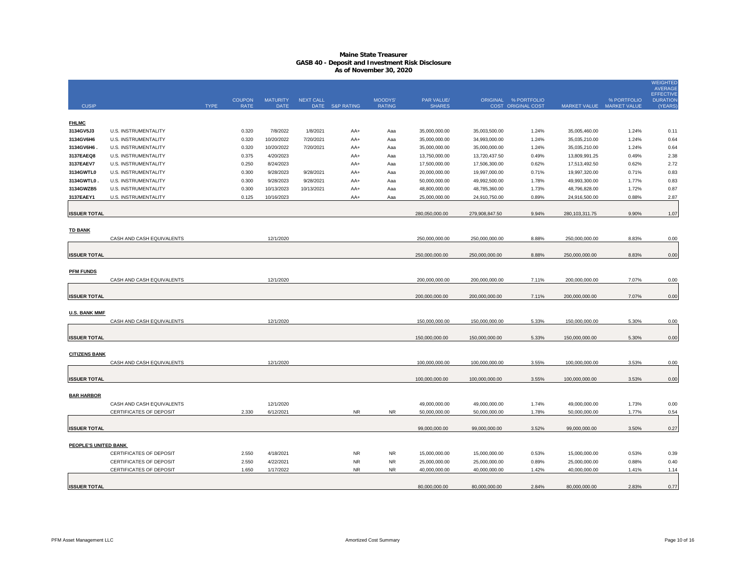|                      |                             |             |                              |                                |                  |                        |                          |                             |                |                                                   |                  |                                          | <b>WEIGHTED</b><br><b>AVERAGE</b><br><b>EFFECTIVE</b> |
|----------------------|-----------------------------|-------------|------------------------------|--------------------------------|------------------|------------------------|--------------------------|-----------------------------|----------------|---------------------------------------------------|------------------|------------------------------------------|-------------------------------------------------------|
| <b>CUSIP</b>         |                             | <b>TYPE</b> | <b>COUPON</b><br><b>RATE</b> | <b>MATURITY</b><br><b>DATE</b> | <b>NEXT CALL</b> | DATE S&P RATING        | MOODYS'<br><b>RATING</b> | PAR VALUE/<br><b>SHARES</b> |                | ORIGINAL % PORTFOLIO<br><b>COST ORIGINAL COST</b> |                  | % PORTFOLIO<br>MARKET VALUE MARKET VALUE | <b>DURATION</b><br>(YEARS                             |
|                      |                             |             |                              |                                |                  |                        |                          |                             |                |                                                   |                  |                                          |                                                       |
| <b>FHLMC</b>         |                             |             |                              |                                |                  |                        |                          |                             |                |                                                   |                  |                                          |                                                       |
| 3134GV5J3            | U.S. INSTRUMENTALITY        |             | 0.320                        | 7/8/2022                       | 1/8/2021         | AA+                    | Aaa                      | 35,000,000.00               | 35,003,500.00  | 1.24%                                             | 35,005,460.00    | 1.24%                                    | 0.11                                                  |
| 3134GV6H6            | <b>U.S. INSTRUMENTALITY</b> |             | 0.320                        | 10/20/2022                     | 7/20/2021        | AA+                    | Aaa                      | 35,000,000.00               | 34,993,000.00  | 1.24%                                             | 35,035,210.00    | 1.24%                                    | 0.64                                                  |
| 3134GV6H6.           | U.S. INSTRUMENTALITY        |             | 0.320                        | 10/20/2022                     | 7/20/2021        | AA+                    | Aaa                      | 35,000,000.00               | 35,000,000.00  | 1.24%                                             | 35,035,210.00    | 1.24%                                    | 0.64                                                  |
| 3137EAEQ8            | U.S. INSTRUMENTALITY        |             | 0.375                        | 4/20/2023                      |                  | AA+                    | Aaa                      | 13,750,000.00               | 13,720,437.50  | 0.49%                                             | 13,809,991.25    | 0.49%                                    | 2.38                                                  |
| 3137EAEV7            | U.S. INSTRUMENTALITY        |             | 0.250                        | 8/24/2023                      |                  | AA+                    | Aaa                      | 17,500,000.00               | 17,506,300.00  | 0.62%                                             | 17,513,492.50    | 0.62%                                    | 2.72                                                  |
| 3134GWTL0            | U.S. INSTRUMENTALITY        |             | 0.300                        | 9/28/2023                      | 9/28/2021        | AA+                    | Aaa                      | 20,000,000.00               | 19,997,000.00  | 0.71%                                             | 19,997,320.00    | 0.71%                                    | 0.83                                                  |
| 3134GWTL0            | U.S. INSTRUMENTALITY        |             | 0.300                        | 9/28/2023                      | 9/28/2021        | AA+                    | Aaa                      | 50,000,000.00               | 49,992,500.00  | 1.78%                                             | 49,993,300.00    | 1.77%                                    | 0.83                                                  |
| 3134GWZB5            | U.S. INSTRUMENTALITY        |             | 0.300                        | 10/13/2023                     | 10/13/2021       | AA+                    | Aaa                      | 48,800,000.00               | 48,785,360.00  | 1.73%                                             | 48,796,828.00    | 1.72%                                    | 0.87                                                  |
| 3137EAEY1            | <b>U.S. INSTRUMENTALITY</b> |             | 0.125                        | 10/16/2023                     |                  | AA+                    | Aaa                      | 25,000,000.00               | 24,910,750.00  | 0.89%                                             | 24,916,500.00    | 0.88%                                    | 2.87                                                  |
| <b>ISSUER TOTAL</b>  |                             |             |                              |                                |                  |                        |                          | 280,050,000.00              | 279,908,847.50 | 9.94%                                             | 280, 103, 311.75 | 9.90%                                    | 1.07                                                  |
|                      |                             |             |                              |                                |                  |                        |                          |                             |                |                                                   |                  |                                          |                                                       |
| <b>TD BANK</b>       |                             |             |                              |                                |                  |                        |                          |                             |                |                                                   |                  |                                          |                                                       |
|                      | CASH AND CASH EQUIVALENTS   |             |                              | 12/1/2020                      |                  |                        |                          | 250,000,000.00              | 250,000,000.00 | 8.88%                                             | 250,000,000.00   | 8.83%                                    | 0.00                                                  |
| <b>ISSUER TOTAL</b>  |                             |             |                              |                                |                  |                        |                          | 250,000,000.00              | 250,000,000.00 | 8.88%                                             | 250,000,000.00   | 8.83%                                    | 0.00                                                  |
|                      |                             |             |                              |                                |                  |                        |                          |                             |                |                                                   |                  |                                          |                                                       |
| <b>PFM FUNDS</b>     |                             |             |                              |                                |                  |                        |                          |                             |                |                                                   |                  |                                          |                                                       |
|                      | CASH AND CASH EQUIVALENTS   |             |                              | 12/1/2020                      |                  |                        |                          | 200,000,000.00              | 200,000,000.00 | 7.11%                                             | 200,000,000.00   | 7.07%                                    | 0.00                                                  |
|                      |                             |             |                              |                                |                  |                        |                          |                             |                |                                                   |                  |                                          |                                                       |
| <b>ISSUER TOTAL</b>  |                             |             |                              |                                |                  |                        |                          | 200,000,000.00              | 200,000,000.00 | 7.11%                                             | 200,000,000.00   | 7.07%                                    | 0.00                                                  |
| <b>U.S. BANK MMF</b> |                             |             |                              |                                |                  |                        |                          |                             |                |                                                   |                  |                                          |                                                       |
|                      | CASH AND CASH EQUIVALENTS   |             |                              | 12/1/2020                      |                  |                        |                          | 150,000,000.00              | 150,000,000.00 | 5.33%                                             | 150,000,000.00   | 5.30%                                    | 0.00                                                  |
|                      |                             |             |                              |                                |                  |                        |                          |                             |                |                                                   |                  |                                          |                                                       |
| <b>ISSUER TOTAL</b>  |                             |             |                              |                                |                  |                        |                          | 150,000,000.00              | 150,000,000.00 | 5.33%                                             | 150,000,000.00   | 5.30%                                    | 0.00                                                  |
|                      |                             |             |                              |                                |                  |                        |                          |                             |                |                                                   |                  |                                          |                                                       |
| <b>CITIZENS BANK</b> |                             |             |                              |                                |                  |                        |                          |                             |                |                                                   |                  |                                          |                                                       |
|                      | CASH AND CASH EQUIVALENTS   |             |                              | 12/1/2020                      |                  |                        |                          | 100,000,000.00              | 100,000,000.00 | 3.55%                                             | 100,000,000.00   | 3.53%                                    | 0.00                                                  |
|                      |                             |             |                              |                                |                  |                        |                          |                             |                |                                                   |                  |                                          |                                                       |
| <b>ISSUER TOTAL</b>  |                             |             |                              |                                |                  |                        |                          | 100,000,000.00              | 100,000,000.00 | 3.55%                                             | 100,000,000.00   | 3.53%                                    | 0.00                                                  |
|                      |                             |             |                              |                                |                  |                        |                          |                             |                |                                                   |                  |                                          |                                                       |
| <b>BAR HARBOR</b>    |                             |             |                              |                                |                  |                        |                          |                             |                |                                                   |                  |                                          |                                                       |
|                      | CASH AND CASH EQUIVALENTS   |             |                              | 12/1/2020                      |                  |                        |                          | 49,000,000.00               | 49,000,000.00  | 1.74%                                             | 49,000,000.00    | 1.73%                                    | 0.00                                                  |
|                      | CERTIFICATES OF DEPOSIT     |             | 2.330                        | 6/12/2021                      |                  | N <sub>R</sub>         | <b>NR</b>                | 50.000.000.00               | 50.000.000.00  | 1.78%                                             | 50.000.000.00    | 1.77%                                    | 0.54                                                  |
|                      |                             |             |                              |                                |                  |                        |                          |                             |                |                                                   |                  |                                          |                                                       |
| <b>ISSUER TOTAL</b>  |                             |             |                              |                                |                  |                        |                          | 99,000,000.00               | 99,000,000.00  | 3.52%                                             | 99,000,000.00    | 3.50%                                    | 0.27                                                  |
|                      |                             |             |                              |                                |                  |                        |                          |                             |                |                                                   |                  |                                          |                                                       |
| PEOPLE'S UNITED BANK |                             |             |                              |                                |                  |                        |                          |                             |                |                                                   |                  |                                          |                                                       |
|                      | CERTIFICATES OF DEPOSIT     |             | 2.550                        | 4/18/2021                      |                  | <b>NR</b>              | <b>NR</b>                | 15,000,000.00               | 15,000,000.00  | 0.53%                                             | 15,000,000.00    | 0.53%                                    | 0.39                                                  |
|                      | CERTIFICATES OF DEPOSIT     |             | 2.550                        | 4/22/2021                      |                  | <b>NR</b><br><b>NR</b> | <b>NR</b><br><b>NR</b>   | 25,000,000.00               | 25,000,000.00  | 0.89%                                             | 25,000,000.00    | 0.88%                                    | 0.40                                                  |
|                      | CERTIFICATES OF DEPOSIT     |             | 1.650                        | 1/17/2022                      |                  |                        |                          | 40,000,000.00               | 40,000,000.00  | 1.42%                                             | 40,000,000.00    | 1.41%                                    | 1.14                                                  |
| <b>ISSUER TOTAL</b>  |                             |             |                              |                                |                  |                        |                          | 80,000,000.00               | 80,000,000.00  | 2.84%                                             | 80,000,000.00    | 2.83%                                    | 0.77                                                  |
|                      |                             |             |                              |                                |                  |                        |                          |                             |                |                                                   |                  |                                          |                                                       |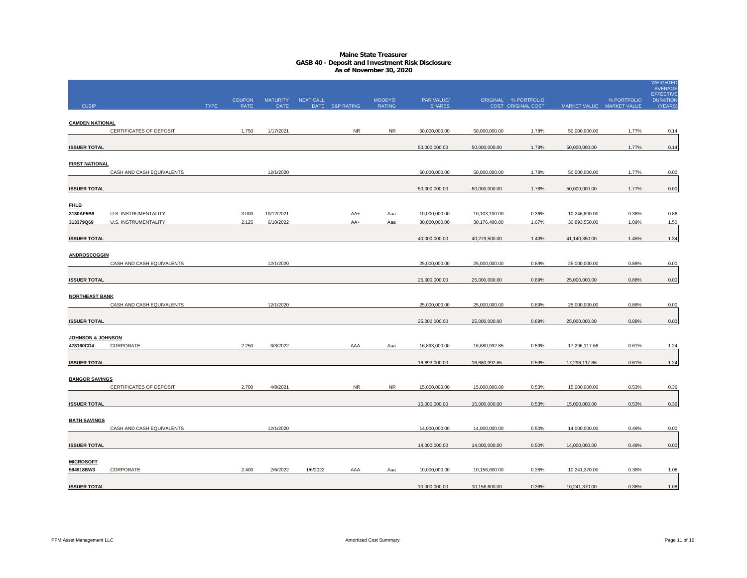|                        |                             |             |                              |                         |           |                 |                          |                             |               |                                            |                           |             | <b>WEIGHTED</b><br><b>AVERAGE</b>              |
|------------------------|-----------------------------|-------------|------------------------------|-------------------------|-----------|-----------------|--------------------------|-----------------------------|---------------|--------------------------------------------|---------------------------|-------------|------------------------------------------------|
| <b>CUSIP</b>           |                             | <b>TYPE</b> | <b>COUPON</b><br><b>RATE</b> | <b>MATURITY</b><br>DATE | NEXT CALL | DATE S&P RATING | MOODYS'<br><b>RATING</b> | PAR VALUE/<br><b>SHARES</b> |               | ORIGINAL % PORTFOLIO<br>COST ORIGINAL COST | MARKET VALUE MARKET VALUE | % PORTFOLIO | <b>EFFECTIVE</b><br><b>DURATION</b><br>(YEARS) |
|                        |                             |             |                              |                         |           |                 |                          |                             |               |                                            |                           |             |                                                |
| <b>CAMDEN NATIONAL</b> |                             |             |                              |                         |           |                 |                          |                             |               |                                            |                           |             |                                                |
|                        | CERTIFICATES OF DEPOSIT     |             | 1.750                        | 1/17/2021               |           | <b>NR</b>       | <b>NR</b>                | 50,000,000.00               | 50,000,000.00 | 1.78%                                      | 50,000,000.00             | 1.77%       | 0.14                                           |
| <b>ISSUER TOTAL</b>    |                             |             |                              |                         |           |                 |                          | 50,000,000.00               | 50,000,000.00 | 1.78%                                      | 50,000,000.00             | 1.77%       | 0.14                                           |
|                        |                             |             |                              |                         |           |                 |                          |                             |               |                                            |                           |             |                                                |
| <b>FIRST NATIONAL</b>  |                             |             |                              |                         |           |                 |                          |                             |               |                                            |                           |             |                                                |
|                        | CASH AND CASH EQUIVALENTS   |             |                              | 12/1/2020               |           |                 |                          | 50,000,000.00               | 50,000,000.00 | 1.78%                                      | 50,000,000.00             | 1.77%       | 0.00                                           |
| <b>ISSUER TOTAL</b>    |                             |             |                              |                         |           |                 |                          | 50,000,000.00               | 50,000,000.00 | 1.78%                                      | 50,000,000.00             | 1.77%       | 0.00                                           |
|                        |                             |             |                              |                         |           |                 |                          |                             |               |                                            |                           |             |                                                |
| <b>FHLB</b>            |                             |             |                              |                         |           |                 |                          |                             |               |                                            |                           |             |                                                |
| 3130AF5B9              | <b>U.S. INSTRUMENTALITY</b> |             | 3.000                        | 10/12/2021              |           | AA+             | Aaa                      | 10,000,000.00               | 10,103,100.00 | 0.36%                                      | 10,246,800.00             | 0.36%       | 0.86                                           |
| 313379Q69              | U.S. INSTRUMENTALITY        |             | 2.125                        | 6/10/2022               |           | AA+             | Aaa                      | 30,000,000.00               | 30,176,400.00 | 1.07%                                      | 30,893,550.00             | 1.09%       | 1.50                                           |
| <b>ISSUER TOTAL</b>    |                             |             |                              |                         |           |                 |                          | 40,000,000.00               | 40,279,500.00 | 1.43%                                      | 41,140,350.00             | 1.45%       | 1.34                                           |
|                        |                             |             |                              |                         |           |                 |                          |                             |               |                                            |                           |             |                                                |
| <b>ANDROSCOGGIN</b>    |                             |             |                              |                         |           |                 |                          |                             |               |                                            |                           |             |                                                |
|                        | CASH AND CASH EQUIVALENTS   |             |                              | 12/1/2020               |           |                 |                          | 25,000,000.00               | 25,000,000.00 | 0.89%                                      | 25,000,000.00             | 0.88%       | 0.00                                           |
| <b>ISSUER TOTAL</b>    |                             |             |                              |                         |           |                 |                          | 25,000,000.00               | 25,000,000.00 | 0.89%                                      | 25,000,000.00             | 0.88%       | 0.00                                           |
|                        |                             |             |                              |                         |           |                 |                          |                             |               |                                            |                           |             |                                                |
| <b>NORTHEAST BANK</b>  |                             |             |                              |                         |           |                 |                          |                             |               |                                            |                           |             |                                                |
|                        | CASH AND CASH EQUIVALENTS   |             |                              | 12/1/2020               |           |                 |                          | 25,000,000.00               | 25,000,000.00 | 0.89%                                      | 25,000,000.00             | 0.88%       | 0.00                                           |
| <b>ISSUER TOTAL</b>    |                             |             |                              |                         |           |                 |                          | 25,000,000.00               | 25,000,000.00 | 0.89%                                      | 25,000,000.00             | 0.88%       | 0.00                                           |
|                        |                             |             |                              |                         |           |                 |                          |                             |               |                                            |                           |             |                                                |
| JOHNSON & JOHNSON      |                             |             |                              |                         |           |                 |                          |                             |               |                                            |                           |             |                                                |
| 478160CD4              | CORPORATE                   |             | 2.250                        | 3/3/2022                |           | AAA             | Aaa                      | 16,893,000.00               | 16,680,992.85 | 0.59%                                      | 17,296,117.66             | 0.61%       | 1.24                                           |
| <b>ISSUER TOTAL</b>    |                             |             |                              |                         |           |                 |                          | 16,893,000.00               | 16,680,992.85 | 0.59%                                      | 17,296,117.66             | 0.61%       | 1.24                                           |
|                        |                             |             |                              |                         |           |                 |                          |                             |               |                                            |                           |             |                                                |
| <b>BANGOR SAVINGS</b>  |                             |             |                              |                         |           |                 |                          |                             |               |                                            |                           |             |                                                |
|                        | CERTIFICATES OF DEPOSIT     |             | 2.700                        | 4/8/2021                |           | <b>NR</b>       | <b>NR</b>                | 15,000,000.00               | 15,000,000.00 | 0.53%                                      | 15,000,000.00             | 0.53%       | 0.36                                           |
|                        |                             |             |                              |                         |           |                 |                          |                             |               |                                            |                           |             |                                                |
| <b>ISSUER TOTAL</b>    |                             |             |                              |                         |           |                 |                          | 15,000,000.00               | 15,000,000.00 | 0.53%                                      | 15,000,000.00             | 0.53%       | 0.36                                           |
| <b>BATH SAVINGS</b>    |                             |             |                              |                         |           |                 |                          |                             |               |                                            |                           |             |                                                |
|                        | CASH AND CASH EQUIVALENTS   |             |                              | 12/1/2020               |           |                 |                          | 14,000,000.00               | 14,000,000.00 | 0.50%                                      | 14,000,000.00             | 0.49%       | 0.00                                           |
|                        |                             |             |                              |                         |           |                 |                          |                             |               |                                            |                           |             |                                                |
| <b>ISSUER TOTAL</b>    |                             |             |                              |                         |           |                 |                          | 14,000,000.00               | 14,000,000.00 | 0.50%                                      | 14,000,000.00             | 0.49%       | 0.00                                           |
| <b>MICROSOFT</b>       |                             |             |                              |                         |           |                 |                          |                             |               |                                            |                           |             |                                                |
| 594918BW3              | CORPORATE                   |             | 2.400                        | 2/6/2022                | 1/6/2022  | AAA             | Aaa                      | 10,000,000.00               | 10,156,600.00 | 0.36%                                      | 10,241,370.00             | 0.36%       | 1.08                                           |
|                        |                             |             |                              |                         |           |                 |                          |                             |               |                                            |                           |             |                                                |
| <b>ISSUER TOTAL</b>    |                             |             |                              |                         |           |                 |                          | 10,000,000.00               | 10,156,600.00 | 0.36%                                      | 10,241,370.00             | 0.36%       | 1.08                                           |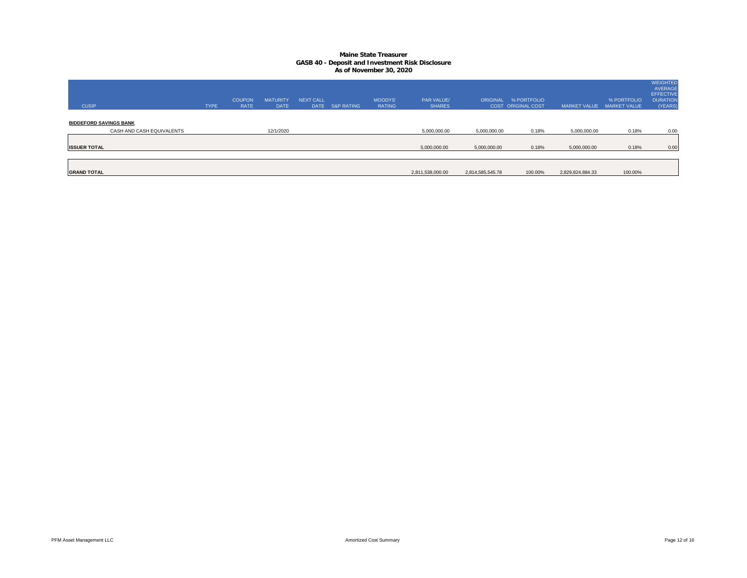| <b>CUSIP</b>                  |                           | <b>TYPE</b> | <b>COUPON</b><br><b>RATE</b> | <b>MATURITY</b><br><b>DATE</b> | <b>NEXT CALL</b> | DATE S&P RATING | <b>MOODYS'</b><br><b>RATING</b> | <b>PAR VALUE/</b><br><b>SHARES</b> |                  | ORIGINAL % PORTFOLIO<br><b>COST ORIGINAL COST</b> | <b>MARKET VALUE</b> | % PORTFOLIO<br><b>MARKET VALUE</b> | <b>WEIGHTED</b><br>AVERAGE<br><b>EFFECTIVE</b><br><b>DURATION</b><br>(YEARS) |
|-------------------------------|---------------------------|-------------|------------------------------|--------------------------------|------------------|-----------------|---------------------------------|------------------------------------|------------------|---------------------------------------------------|---------------------|------------------------------------|------------------------------------------------------------------------------|
| <b>BIDDEFORD SAVINGS BANK</b> | CASH AND CASH EQUIVALENTS |             |                              | 12/1/2020                      |                  |                 |                                 | 5,000,000.00                       | 5,000,000.00     | 0.18%                                             | 5,000,000.00        | 0.18%                              | 0.00                                                                         |
| <b>ISSUER TOTAL</b>           |                           |             |                              |                                |                  |                 |                                 | 5,000,000.00                       | 5,000,000.00     | 0.18%                                             | 5,000,000.00        | 0.18%                              | 0.00                                                                         |
| <b>GRAND TOTAL</b>            |                           |             |                              |                                |                  |                 |                                 | 2,811,538,000.00                   | 2,814,585,545.78 | 100.00%                                           | 2,829,824,884.33    | 100.00%                            |                                                                              |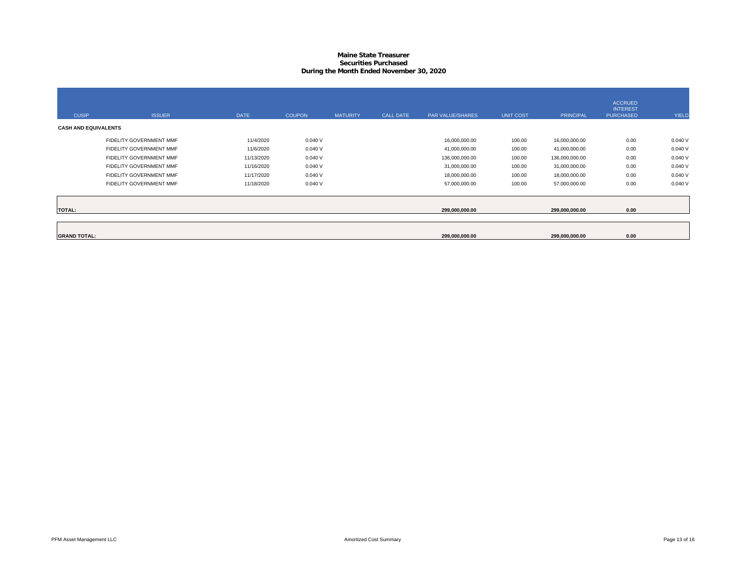#### **Maine State Treasurer Securities PurchasedDuring the Month Ended November 30, 2020**

| <b>CUSIP</b>                | <b>ISSUER</b>           | <b>DATE</b> | <b>COUPON</b> | <b>MATURITY</b> | <b>CALL DATE</b> | <b>PAR VALUE/SHARES</b> | <b>UNIT COST</b> | <b>PRINCIPAL</b> | <b>ACCRUED</b><br><b>INTEREST</b><br><b>PURCHASED</b> | <b>YIELD</b> |
|-----------------------------|-------------------------|-------------|---------------|-----------------|------------------|-------------------------|------------------|------------------|-------------------------------------------------------|--------------|
| <b>CASH AND EQUIVALENTS</b> |                         |             |               |                 |                  |                         |                  |                  |                                                       |              |
|                             | FIDELITY GOVERNMENT MMF | 11/4/2020   | 0.040V        |                 |                  | 16,000,000.00           | 100.00           | 16,000,000.00    | 0.00                                                  | 0.040V       |
|                             | FIDELITY GOVERNMENT MMF | 11/6/2020   | 0.040V        |                 |                  | 41,000,000.00           | 100.00           | 41,000,000.00    | 0.00                                                  | 0.040V       |
|                             | FIDELITY GOVERNMENT MMF | 11/13/2020  | 0.040V        |                 |                  | 136,000,000.00          | 100.00           | 136,000,000.00   | 0.00                                                  | 0.040V       |
|                             | FIDELITY GOVERNMENT MMF | 11/16/2020  | 0.040V        |                 |                  | 31,000,000.00           | 100.00           | 31,000,000.00    | 0.00                                                  | 0.040V       |
|                             | FIDELITY GOVERNMENT MMF | 11/17/2020  | 0.040V        |                 |                  | 18,000,000.00           | 100.00           | 18,000,000.00    | 0.00                                                  | 0.040V       |
|                             | FIDELITY GOVERNMENT MMF | 11/18/2020  | 0.040V        |                 |                  | 57,000,000.00           | 100.00           | 57,000,000.00    | 0.00                                                  | 0.040V       |
| <b>TOTAL:</b>               |                         |             |               |                 |                  | 299,000,000.00          |                  | 299,000,000.00   | 0.00                                                  |              |
|                             |                         |             |               |                 |                  |                         |                  |                  |                                                       |              |
| <b>GRAND TOTAL:</b>         |                         |             |               |                 |                  | 299,000,000.00          |                  | 299,000,000.00   | 0.00                                                  |              |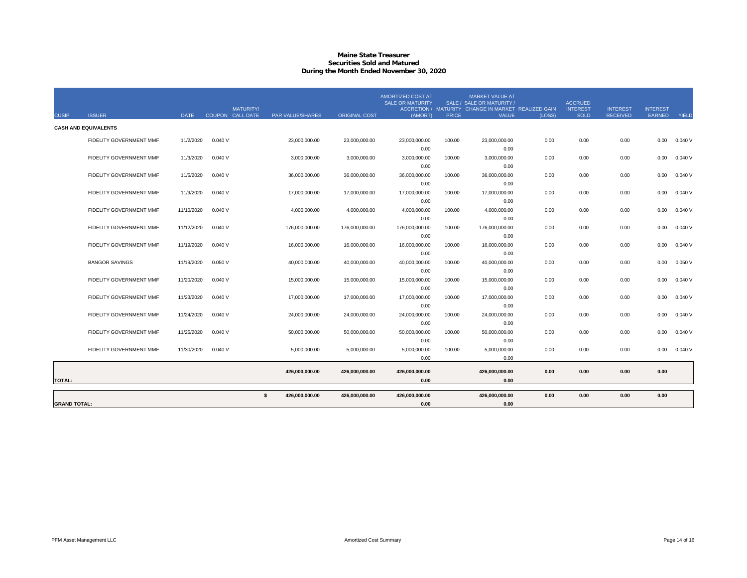#### **Maine State Treasurer Securities Sold and MaturedDuring the Month Ended November 30, 2020**

| <b>CUSIP</b>        | <b>ISSUER</b>                  | <b>DATE</b> | <b>MATURITY/</b><br>COUPON CALL DATE | <b>PAR VALUE/SHARES</b> | <b>ORIGINAL COST</b> | AMORTIZED COST AT<br><b>SALE OR MATURITY</b><br>(AMORT) | <b>PRICE</b> | MARKET VALUE AT<br>SALE / SALE OR MATURITY /<br>ACCRETION / MATURITY CHANGE IN MARKET REALIZED GAIN<br><b>VALUE</b> | (LOSS) | <b>ACCRUED</b><br><b>INTEREST</b><br><b>SOLD</b> | <b>INTEREST</b><br><b>RECEIVED</b> | <b>INTEREST</b><br>EARNED | <b>YIELD</b> |
|---------------------|--------------------------------|-------------|--------------------------------------|-------------------------|----------------------|---------------------------------------------------------|--------------|---------------------------------------------------------------------------------------------------------------------|--------|--------------------------------------------------|------------------------------------|---------------------------|--------------|
|                     | <b>CASH AND EQUIVALENTS</b>    |             |                                      |                         |                      |                                                         |              |                                                                                                                     |        |                                                  |                                    |                           |              |
|                     | <b>FIDELITY GOVERNMENT MMF</b> | 11/2/2020   | 0.040V                               | 23,000,000.00           | 23,000,000.00        | 23.000.000.00                                           | 100.00       | 23,000,000.00                                                                                                       | 0.00   | 0.00                                             | 0.00                               | 0.00                      | 0.040V       |
|                     |                                |             |                                      |                         |                      | 0.00                                                    |              | 0.00                                                                                                                |        |                                                  |                                    |                           |              |
|                     | <b>FIDELITY GOVERNMENT MMF</b> | 11/3/2020   | 0.040V                               | 3,000,000.00            | 3,000,000.00         | 3,000,000.00                                            | 100.00       | 3,000,000.00                                                                                                        | 0.00   | 0.00                                             | 0.00                               | 0.00                      | 0.040V       |
|                     |                                |             |                                      |                         |                      | 0.00                                                    |              | 0.00                                                                                                                |        |                                                  |                                    |                           |              |
|                     | <b>FIDELITY GOVERNMENT MMF</b> | 11/5/2020   | 0.040V                               | 36,000,000.00           | 36,000,000.00        | 36,000,000.00                                           | 100.00       | 36,000,000.00                                                                                                       | 0.00   | 0.00                                             | 0.00                               | 0.00                      | 0.040V       |
|                     |                                |             |                                      |                         |                      | 0.00                                                    |              | 0.00                                                                                                                |        |                                                  |                                    |                           |              |
|                     | FIDELITY GOVERNMENT MMF        | 11/9/2020   | 0.040V                               | 17,000,000.00           | 17,000,000.00        | 17,000,000.00                                           | 100.00       | 17,000,000.00                                                                                                       | 0.00   | 0.00                                             | 0.00                               | 0.00                      | 0.040V       |
|                     |                                |             | 0.040V                               |                         |                      | 0.00<br>4.000.000.00                                    |              | 0.00                                                                                                                | 0.00   | 0.00                                             | 0.00                               |                           | 0.040V       |
|                     | <b>FIDELITY GOVERNMENT MMF</b> | 11/10/2020  |                                      | 4.000.000.00            | 4.000.000.00         | 0.00                                                    | 100.00       | 4.000.000.00<br>0.00                                                                                                |        |                                                  |                                    | 0.00                      |              |
|                     | FIDELITY GOVERNMENT MMF        | 11/12/2020  | 0.040V                               | 176.000.000.00          | 176.000.000.00       | 176,000,000.00                                          | 100.00       | 176.000.000.00                                                                                                      | 0.00   | 0.00                                             | 0.00                               | 0.00                      | 0.040V       |
|                     |                                |             |                                      |                         |                      | 0.00                                                    |              | 0.00                                                                                                                |        |                                                  |                                    |                           |              |
|                     | FIDELITY GOVERNMENT MMF        | 11/19/2020  | 0.040V                               | 16,000,000.00           | 16,000,000.00        | 16,000,000.00                                           | 100.00       | 16,000,000.00                                                                                                       | 0.00   | 0.00                                             | 0.00                               | 0.00                      | 0.040V       |
|                     |                                |             |                                      |                         |                      | 0.00                                                    |              | 0.00                                                                                                                |        |                                                  |                                    |                           |              |
|                     | <b>BANGOR SAVINGS</b>          | 11/19/2020  | 0.050V                               | 40,000,000.00           | 40,000,000.00        | 40,000,000.00                                           | 100.00       | 40,000,000.00                                                                                                       | 0.00   | 0.00                                             | 0.00                               | 0.00                      | 0.050V       |
|                     |                                |             |                                      |                         |                      | 0.00                                                    |              | 0.00                                                                                                                |        |                                                  |                                    |                           |              |
|                     | <b>FIDELITY GOVERNMENT MMF</b> | 11/20/2020  | 0.040V                               | 15,000,000.00           | 15,000,000.00        | 15,000,000.00                                           | 100.00       | 15,000,000.00                                                                                                       | 0.00   | 0.00                                             | 0.00                               | 0.00                      | 0.040V       |
|                     |                                |             |                                      |                         |                      | 0.00                                                    |              | 0.00                                                                                                                |        |                                                  |                                    |                           |              |
|                     | FIDELITY GOVERNMENT MMF        | 11/23/2020  | 0.040V                               | 17.000.000.00           | 17,000,000,00        | 17,000,000.00                                           | 100.00       | 17,000,000.00                                                                                                       | 0.00   | 0.00                                             | 0.00                               | 0.00                      | 0.040V       |
|                     |                                |             |                                      |                         |                      | 0.00                                                    |              | 0.00                                                                                                                |        |                                                  |                                    |                           |              |
|                     | <b>FIDELITY GOVERNMENT MMF</b> | 11/24/2020  | 0.040V                               | 24,000,000.00           | 24,000,000.00        | 24,000,000.00                                           | 100.00       | 24,000,000.00                                                                                                       | 0.00   | 0.00                                             | 0.00                               | 0.00                      | 0.040V       |
|                     |                                |             |                                      |                         |                      | 0.00                                                    |              | 0.00                                                                                                                |        |                                                  |                                    |                           |              |
|                     | <b>FIDELITY GOVERNMENT MMF</b> | 11/25/2020  | 0.040V                               | 50,000,000.00           | 50,000,000.00        | 50,000,000.00<br>0.00                                   | 100.00       | 50,000,000.00<br>0.00                                                                                               | 0.00   | 0.00                                             | 0.00                               | 0.00                      | 0.040V       |
|                     | FIDELITY GOVERNMENT MMF        | 11/30/2020  | 0.040V                               | 5,000,000.00            | 5,000,000.00         | 5,000,000.00                                            | 100.00       | 5,000,000.00                                                                                                        | 0.00   | 0.00                                             | 0.00                               | 0.00                      | 0.040V       |
|                     |                                |             |                                      |                         |                      | 0.00                                                    |              | 0.00                                                                                                                |        |                                                  |                                    |                           |              |
|                     |                                |             |                                      |                         |                      |                                                         |              |                                                                                                                     |        |                                                  |                                    |                           |              |
|                     |                                |             |                                      | 426,000,000.00          | 426,000,000.00       | 426,000,000.00                                          |              | 426,000,000.00                                                                                                      | 0.00   | 0.00                                             | 0.00                               | 0.00                      |              |
| <b>TOTAL:</b>       |                                |             |                                      |                         |                      | 0.00                                                    |              | 0.00                                                                                                                |        |                                                  |                                    |                           |              |
|                     |                                |             |                                      | s.<br>426,000,000.00    | 426,000,000.00       | 426,000,000.00                                          |              | 426,000,000.00                                                                                                      | 0.00   | 0.00                                             | 0.00                               | 0.00                      |              |
| <b>GRAND TOTAL:</b> |                                |             |                                      |                         |                      | 0.00                                                    |              | 0.00                                                                                                                |        |                                                  |                                    |                           |              |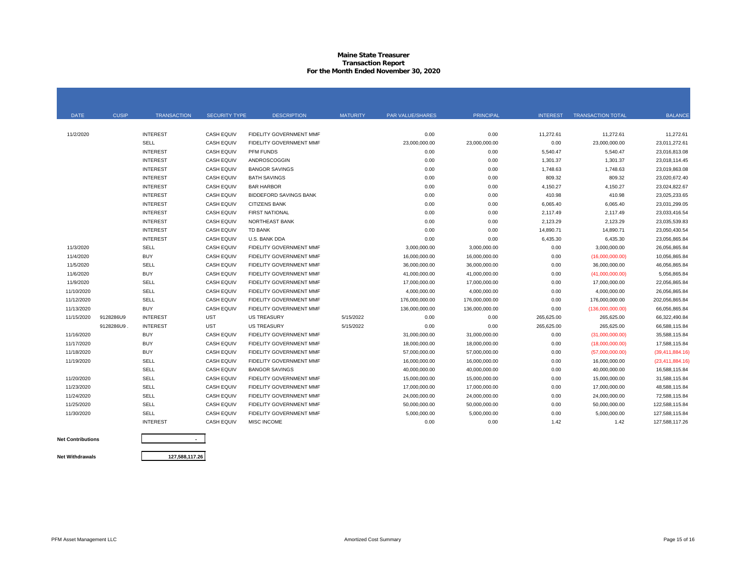#### **Maine State Treasurer Transaction Report For the Month Ended November 30, 2020**

| <b>DATE</b> | <b>CUSIP</b> | <b>TRANSACTION</b> | <b>SECURITY TYPE</b> | <b>DESCRIPTION</b>             | <b>MATURITY</b> | <b>PAR VALUE/SHARES</b> | <b>PRINCIPAL</b> | <b>INTEREST</b> | <b>TRANSACTION TOTAL</b> | <b>BALANCE</b>    |
|-------------|--------------|--------------------|----------------------|--------------------------------|-----------------|-------------------------|------------------|-----------------|--------------------------|-------------------|
|             |              |                    |                      |                                |                 |                         |                  |                 |                          |                   |
| 11/2/2020   |              | <b>INTEREST</b>    | <b>CASH EQUIV</b>    | FIDELITY GOVERNMENT MMF        |                 | 0.00                    | 0.00             | 11,272.61       | 11,272.61                | 11,272.61         |
|             |              | SELL               | <b>CASH EQUIV</b>    | <b>FIDELITY GOVERNMENT MMF</b> |                 | 23,000,000.00           | 23,000,000.00    | 0.00            | 23,000,000.00            | 23,011,272.61     |
|             |              | <b>INTEREST</b>    | <b>CASH EQUIV</b>    | <b>PFM FUNDS</b>               |                 | 0.00                    | 0.00             | 5,540.47        | 5,540.47                 | 23,016,813.08     |
|             |              | <b>INTEREST</b>    | <b>CASH EQUIV</b>    | <b>ANDROSCOGGIN</b>            |                 | 0.00                    | 0.00             | 1,301.37        | 1,301.37                 | 23,018,114.45     |
|             |              | <b>INTEREST</b>    | <b>CASH EQUIV</b>    | <b>BANGOR SAVINGS</b>          |                 | 0.00                    | 0.00             | 1,748.63        | 1,748.63                 | 23,019,863.08     |
|             |              | <b>INTEREST</b>    | <b>CASH EQUIV</b>    | <b>BATH SAVINGS</b>            |                 | 0.00                    | 0.00             | 809.32          | 809.32                   | 23,020,672.40     |
|             |              | <b>INTEREST</b>    | <b>CASH EQUIV</b>    | <b>BAR HARBOR</b>              |                 | 0.00                    | 0.00             | 4,150.27        | 4,150.27                 | 23,024,822.67     |
|             |              | <b>INTEREST</b>    | <b>CASH EQUIV</b>    | <b>BIDDEFORD SAVINGS BANK</b>  |                 | 0.00                    | 0.00             | 410.98          | 410.98                   | 23,025,233.65     |
|             |              | <b>INTEREST</b>    | <b>CASH EQUIV</b>    | <b>CITIZENS BANK</b>           |                 | 0.00                    | 0.00             | 6,065.40        | 6,065.40                 | 23,031,299.05     |
|             |              | <b>INTEREST</b>    | <b>CASH EQUIV</b>    | <b>FIRST NATIONAL</b>          |                 | 0.00                    | 0.00             | 2,117.49        | 2,117.49                 | 23,033,416.54     |
|             |              | <b>INTEREST</b>    | <b>CASH EQUIV</b>    | NORTHEAST BANK                 |                 | 0.00                    | 0.00             | 2,123.29        | 2,123.29                 | 23,035,539.83     |
|             |              | <b>INTEREST</b>    | <b>CASH EQUIV</b>    | <b>TD BANK</b>                 |                 | 0.00                    | 0.00             | 14,890.71       | 14,890.71                | 23,050,430.54     |
|             |              | <b>INTEREST</b>    | <b>CASH EQUIV</b>    | U.S. BANK DDA                  |                 | 0.00                    | 0.00             | 6,435.30        | 6,435.30                 | 23,056,865.84     |
| 11/3/2020   |              | SELL               | <b>CASH EQUIV</b>    | FIDELITY GOVERNMENT MMF        |                 | 3,000,000.00            | 3,000,000.00     | 0.00            | 3,000,000.00             | 26,056,865.84     |
| 11/4/2020   |              | <b>BUY</b>         | <b>CASH EQUIV</b>    | FIDELITY GOVERNMENT MMF        |                 | 16,000,000.00           | 16,000,000.00    | 0.00            | (16,000,000.00)          | 10,056,865.84     |
| 11/5/2020   |              | SELL               | <b>CASH EQUIV</b>    | FIDELITY GOVERNMENT MMF        |                 | 36,000,000.00           | 36,000,000.00    | 0.00            | 36,000,000.00            | 46,056,865.84     |
| 11/6/2020   |              | <b>BUY</b>         | <b>CASH EQUIV</b>    | FIDELITY GOVERNMENT MMF        |                 | 41,000,000.00           | 41,000,000.00    | 0.00            | (41,000,000.00)          | 5,056,865.84      |
| 11/9/2020   |              | SELL               | <b>CASH EQUIV</b>    | FIDELITY GOVERNMENT MMF        |                 | 17,000,000.00           | 17,000,000.00    | 0.00            | 17,000,000.00            | 22,056,865.84     |
| 11/10/2020  |              | SELL               | <b>CASH EQUIV</b>    | <b>FIDELITY GOVERNMENT MMF</b> |                 | 4,000,000.00            | 4,000,000.00     | 0.00            | 4,000,000.00             | 26,056,865.84     |
| 11/12/2020  |              | SELL               | <b>CASH EQUIV</b>    | <b>FIDELITY GOVERNMENT MMF</b> |                 | 176,000,000.00          | 176,000,000.00   | 0.00            | 176,000,000.00           | 202,056,865.84    |
| 11/13/2020  |              | <b>BUY</b>         | <b>CASH EQUIV</b>    | <b>FIDELITY GOVERNMENT MMF</b> |                 | 136,000,000.00          | 136,000,000.00   | 0.00            | (136,000,000.00)         | 66,056,865.84     |
| 11/15/2020  | 9128286U9    | <b>INTEREST</b>    | <b>UST</b>           | <b>US TREASURY</b>             | 5/15/2022       | 0.00                    | 0.00             | 265,625.00      | 265,625.00               | 66,322,490.84     |
|             | 9128286U9    | <b>INTEREST</b>    | <b>UST</b>           | <b>US TREASURY</b>             | 5/15/2022       | 0.00                    | 0.00             | 265,625.00      | 265,625.00               | 66.588.115.84     |
| 11/16/2020  |              | <b>BUY</b>         | <b>CASH EQUIV</b>    | FIDELITY GOVERNMENT MMF        |                 | 31,000,000.00           | 31,000,000.00    | 0.00            | (31,000,000.00)          | 35.588.115.84     |
| 11/17/2020  |              | <b>BUY</b>         | <b>CASH EQUIV</b>    | <b>FIDELITY GOVERNMENT MMF</b> |                 | 18,000,000.00           | 18,000,000.00    | 0.00            | (18,000,000.00)          | 17,588,115.84     |
| 11/18/2020  |              | <b>BUY</b>         | <b>CASH EQUIV</b>    | <b>FIDELITY GOVERNMENT MMF</b> |                 | 57,000,000.00           | 57,000,000.00    | 0.00            | (57,000,000.00)          | (39, 411, 884.16) |
| 11/19/2020  |              | SELL               | <b>CASH EQUIV</b>    | <b>FIDELITY GOVERNMENT MMF</b> |                 | 16,000,000.00           | 16,000,000.00    | 0.00            | 16,000,000.00            | (23, 411, 884.16) |
|             |              | SELL               | <b>CASH EQUIV</b>    | <b>BANGOR SAVINGS</b>          |                 | 40,000,000.00           | 40,000,000.00    | 0.00            | 40,000,000.00            | 16,588,115.84     |
| 11/20/2020  |              | SELL               | <b>CASH EQUIV</b>    | <b>FIDELITY GOVERNMENT MMF</b> |                 | 15,000,000,00           | 15,000,000.00    | 0.00            | 15,000,000.00            | 31.588.115.84     |
| 11/23/2020  |              | SELL               | <b>CASH EQUIV</b>    | <b>FIDELITY GOVERNMENT MMF</b> |                 | 17.000.000.00           | 17,000,000.00    | 0.00            | 17,000,000.00            | 48.588.115.84     |
| 11/24/2020  |              | <b>SELL</b>        | <b>CASH EQUIV</b>    | <b>FIDELITY GOVERNMENT MMF</b> |                 | 24.000.000.00           | 24,000,000.00    | 0.00            | 24,000,000.00            | 72.588.115.84     |
| 11/25/2020  |              | <b>SELL</b>        | <b>CASH EQUIV</b>    | FIDELITY GOVERNMENT MMF        |                 | 50.000.000.00           | 50.000.000.00    | 0.00            | 50,000,000.00            | 122.588.115.84    |
| 11/30/2020  |              | <b>SELL</b>        | <b>CASH EQUIV</b>    | FIDELITY GOVERNMENT MMF        |                 | 5,000,000.00            | 5,000,000.00     | 0.00            | 5,000,000.00             | 127,588,115.84    |
|             |              | <b>INTEREST</b>    | <b>CASH EQUIV</b>    | MISC INCOME                    |                 | 0.00                    | 0.00             | 1.42            | 1.42                     | 127,588,117.26    |
|             |              |                    |                      |                                |                 |                         |                  |                 |                          |                   |

**Net Contributions Net Withdrawals**

**127,588,117.26**

**-**